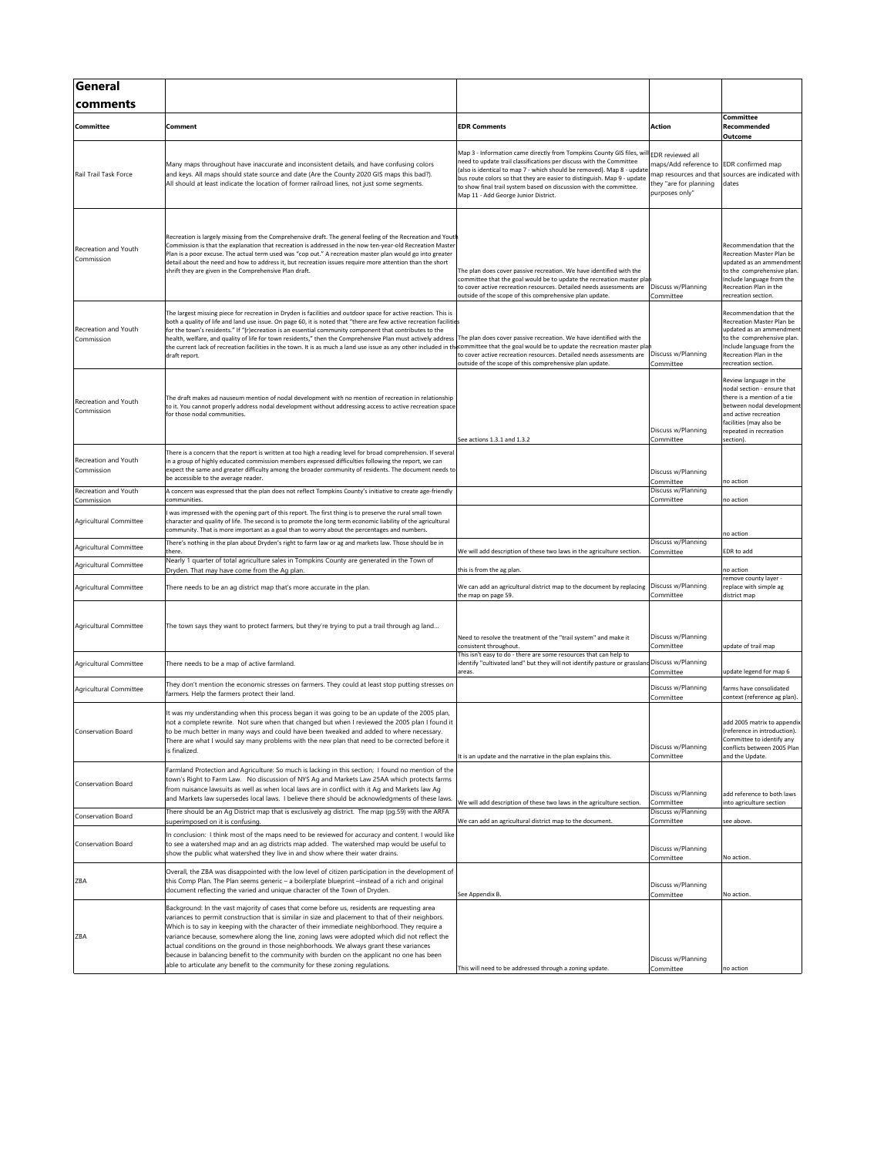| General<br>comments                |                                                                                                                                                                                                                                                                                                                                                                                                                                                                                                                                                                                                                                                                                                                                                   |                                                                                                                                                                                                                                                                                                                                                                                                                 |                                                                                                                                   |                                                                                                                                                                                                             |
|------------------------------------|---------------------------------------------------------------------------------------------------------------------------------------------------------------------------------------------------------------------------------------------------------------------------------------------------------------------------------------------------------------------------------------------------------------------------------------------------------------------------------------------------------------------------------------------------------------------------------------------------------------------------------------------------------------------------------------------------------------------------------------------------|-----------------------------------------------------------------------------------------------------------------------------------------------------------------------------------------------------------------------------------------------------------------------------------------------------------------------------------------------------------------------------------------------------------------|-----------------------------------------------------------------------------------------------------------------------------------|-------------------------------------------------------------------------------------------------------------------------------------------------------------------------------------------------------------|
| Committee                          | Comment                                                                                                                                                                                                                                                                                                                                                                                                                                                                                                                                                                                                                                                                                                                                           | <b>EDR Comments</b>                                                                                                                                                                                                                                                                                                                                                                                             | Action                                                                                                                            | Committee<br>Recommended<br>Outcome                                                                                                                                                                         |
| Rail Trail Task Force              | Many maps throughout have inaccurate and inconsistent details, and have confusing colors<br>and keys. All maps should state source and date (Are the County 2020 GIS maps this bad?).<br>All should at least indicate the location of former railroad lines, not just some segments.                                                                                                                                                                                                                                                                                                                                                                                                                                                              | Map 3 - Information came directly from Tompkins County GIS files, wil<br>need to update trail classifications per discuss with the Committee<br>(also is identical to map 7 - which should be removed). Map 8 - update<br>bus route colors so that they are easier to distinguish. Map 9 - update<br>to show final trail system based on discussion with the committee.<br>Map 11 - Add George Junior District. | EDR reviewed all<br>naps/Add reference to EDR confirmed map<br>map resources and that<br>they "are for planning<br>purposes only" | sources are indicated with<br>dates                                                                                                                                                                         |
| Recreation and Youth<br>Commission | Recreation is largely missing from the Comprehensive draft. The general feeling of the Recreation and Youth<br>Commission is that the explanation that recreation is addressed in the now ten-year-old Recreation Master<br>Plan is a poor excuse. The actual term used was "cop out." A recreation master plan would go into greater<br>detail about the need and how to address it, but recreation issues require more attention than the short<br>shrift they are given in the Comprehensive Plan draft.                                                                                                                                                                                                                                       | The plan does cover passive recreation. We have identified with the<br>committee that the goal would be to update the recreation master pla<br>to cover active recreation resources. Detailed needs assessments are<br>outside of the scope of this comprehensive plan update.                                                                                                                                  | Discuss w/Planning<br>Committee                                                                                                   | Recommendation that the<br>Recreation Master Plan be<br>updated as an ammendment<br>to the comprehensive plan.<br>Include language from the<br>Recreation Plan in the<br>recreation section.                |
| Recreation and Youth<br>Commission | The largest missing piece for recreation in Dryden is facilities and outdoor space for active reaction. This is<br>both a quality of life and land use issue. On page 60, it is noted that "there are few active recreation facilities<br>for the town's residents." If "(r)ecreation is an essential community component that contributes to the<br>health, welfare, and quality of life for town residents," then the Comprehensive Plan must actively address  The plan does cover passive recreation. We have identified with the<br>the current lack of recreation facilities in the town. It is as much a land use issue as any other included in the committee that the goal would be to update the recreation master pla<br>draft report. | to cover active recreation resources. Detailed needs assessments are<br>outside of the scope of this comprehensive plan update.                                                                                                                                                                                                                                                                                 | Discuss w/Planning<br>Committee                                                                                                   | Recommendation that the<br>Recreation Master Plan be<br>updated as an ammendment<br>to the comprehensive plan.<br>Include language from the<br>Recreation Plan in the<br>recreation section.                |
| Recreation and Youth<br>Commission | The draft makes ad nauseum mention of nodal development with no mention of recreation in relationship<br>to it. You cannot properly address nodal development without addressing access to active recreation space<br>for those nodal communities.                                                                                                                                                                                                                                                                                                                                                                                                                                                                                                | See actions 1.3.1 and 1.3.2                                                                                                                                                                                                                                                                                                                                                                                     | Discuss w/Planning<br>Committee                                                                                                   | Review language in the<br>nodal section - ensure that<br>there is a mention of a tie<br>between nodal development<br>and active recreation<br>facilities (may also be<br>repeated in recreation<br>section) |
| Recreation and Youth<br>Commission | There is a concern that the report is written at too high a reading level for broad comprehension. If several<br>in a group of highly educated commission members expressed difficulties following the report, we can<br>expect the same and greater difficulty among the broader community of residents. The document needs to<br>be accessible to the average reader.                                                                                                                                                                                                                                                                                                                                                                           |                                                                                                                                                                                                                                                                                                                                                                                                                 | Discuss w/Planning<br>Committee                                                                                                   | no action                                                                                                                                                                                                   |
| Recreation and Youth<br>Commission | A concern was expressed that the plan does not reflect Tompkins County's initiative to create age-friendly<br>communities.                                                                                                                                                                                                                                                                                                                                                                                                                                                                                                                                                                                                                        |                                                                                                                                                                                                                                                                                                                                                                                                                 | Discuss w/Planning<br>Committee                                                                                                   | no action                                                                                                                                                                                                   |
| Agricultural Committee             | was impressed with the opening part of this report. The first thing is to preserve the rural small town<br>character and quality of life. The second is to promote the long term economic liability of the agricultural<br>community. That is more important as a goal than to worry about the percentages and numbers.                                                                                                                                                                                                                                                                                                                                                                                                                           |                                                                                                                                                                                                                                                                                                                                                                                                                 |                                                                                                                                   | no action                                                                                                                                                                                                   |
| Agricultural Committee             | There's nothing in the plan about Dryden's right to farm law or ag and markets law. Those should be in<br>there.                                                                                                                                                                                                                                                                                                                                                                                                                                                                                                                                                                                                                                  | We will add description of these two laws in the agriculture section.                                                                                                                                                                                                                                                                                                                                           | Discuss w/Planning<br>Committee                                                                                                   | EDR to add                                                                                                                                                                                                  |
| Agricultural Committee             | Nearly 1 quarter of total agriculture sales in Tompkins County are generated in the Town of<br>Dryden. That may have come from the Ag plan.                                                                                                                                                                                                                                                                                                                                                                                                                                                                                                                                                                                                       | this is from the ag plan.                                                                                                                                                                                                                                                                                                                                                                                       |                                                                                                                                   | no action                                                                                                                                                                                                   |
| Agricultural Committee             | There needs to be an ag district map that's more accurate in the plan.                                                                                                                                                                                                                                                                                                                                                                                                                                                                                                                                                                                                                                                                            | We can add an agricultural district map to the document by replacing<br>the map on page 59.                                                                                                                                                                                                                                                                                                                     | Discuss w/Planning<br>Committee                                                                                                   | remove county layer -<br>replace with simple ag<br>district map                                                                                                                                             |
| Agricultural Committee             | The town says they want to protect farmers, but they're trying to put a trail through ag land                                                                                                                                                                                                                                                                                                                                                                                                                                                                                                                                                                                                                                                     | Need to resolve the treatment of the "trail system" and make it<br>consistent throughout.                                                                                                                                                                                                                                                                                                                       | Discuss w/Planning<br>Committee                                                                                                   | update of trail map                                                                                                                                                                                         |
| Agricultural Committee             | There needs to be a map of active farmland.                                                                                                                                                                                                                                                                                                                                                                                                                                                                                                                                                                                                                                                                                                       | This isn't easy to do - there are some resources that can help to<br>identify "cultivated land" but they will not identify pasture or grassland Discuss w/Planning<br>areas.                                                                                                                                                                                                                                    | Committee                                                                                                                         | update legend for map 6                                                                                                                                                                                     |
| Agricultural Committee             | They don't mention the economic stresses on farmers. They could at least stop putting stresses on<br>farmers. Help the farmers protect their land.                                                                                                                                                                                                                                                                                                                                                                                                                                                                                                                                                                                                |                                                                                                                                                                                                                                                                                                                                                                                                                 | Discuss w/Planning<br>Committee                                                                                                   | farms have consolidated<br>context (reference ag plan).                                                                                                                                                     |
| Conservation Board                 | It was my understanding when this process began it was going to be an update of the 2005 plan,<br>not a complete rewrite. Not sure when that changed but when I reviewed the 2005 plan I found it<br>to be much better in many ways and could have been tweaked and added to where necessary.<br>There are what I would say many problems with the new plan that need to be corrected before it<br>is finalized.                                                                                                                                                                                                                                                                                                                                  | It is an update and the narrative in the plan explains this.                                                                                                                                                                                                                                                                                                                                                    | Discuss w/Planning<br>Committee                                                                                                   | add 2005 matrix to appendix<br>(reference in introduction).<br>Committee to identify any<br>conflicts between 2005 Plan<br>and the Update.                                                                  |
| Conservation Board                 | Farmland Protection and Agriculture: So much is lacking in this section; I found no mention of the<br>town's Right to Farm Law. No discussion of NYS Ag and Markets Law 25AA which protects farms<br>from nuisance lawsuits as well as when local laws are in conflict with it Ag and Markets law Ag<br>and Markets law supersedes local laws. I believe there should be acknowledgments of these laws.                                                                                                                                                                                                                                                                                                                                           | We will add description of these two laws in the agriculture section.                                                                                                                                                                                                                                                                                                                                           | Discuss w/Planning<br>Committee                                                                                                   | add reference to both laws<br>into agriculture section                                                                                                                                                      |
| Conservation Board                 | There should be an Ag District map that is exclusively ag district. The map (pg.59) with the ARFA<br>superimposed on it is confusing.                                                                                                                                                                                                                                                                                                                                                                                                                                                                                                                                                                                                             | We can add an agricultural district map to the document.                                                                                                                                                                                                                                                                                                                                                        | Discuss w/Planning<br>Committee                                                                                                   | see above.                                                                                                                                                                                                  |
| Conservation Board                 | In conclusion: I think most of the maps need to be reviewed for accuracy and content. I would like<br>to see a watershed map and an ag districts map added. The watershed map would be useful to<br>show the public what watershed they live in and show where their water drains.                                                                                                                                                                                                                                                                                                                                                                                                                                                                |                                                                                                                                                                                                                                                                                                                                                                                                                 | Discuss w/Planning<br>Committee                                                                                                   | No action.                                                                                                                                                                                                  |
| ZBA                                | Overall, the ZBA was disappointed with the low level of citizen participation in the development of<br>this Comp Plan. The Plan seems generic - a boilerplate blueprint -instead of a rich and original<br>document reflecting the varied and unique character of the Town of Dryden.                                                                                                                                                                                                                                                                                                                                                                                                                                                             | See Appendix B.                                                                                                                                                                                                                                                                                                                                                                                                 | Discuss w/Planning<br>Committee                                                                                                   | No action.                                                                                                                                                                                                  |
| ZBA                                | Background: In the vast majority of cases that come before us, residents are requesting area<br>variances to permit construction that is similar in size and placement to that of their neighbors.<br>Which is to say in keeping with the character of their immediate neighborhood. They require a<br>variance because, somewhere along the line, zoning laws were adopted which did not reflect the<br>actual conditions on the ground in those neighborhoods. We always grant these variances<br>because in balancing benefit to the community with burden on the applicant no one has been<br>able to articulate any benefit to the community for these zoning regulations.                                                                   | This will need to be addressed through a zoning update.                                                                                                                                                                                                                                                                                                                                                         | Discuss w/Planning<br>Committee                                                                                                   | no action                                                                                                                                                                                                   |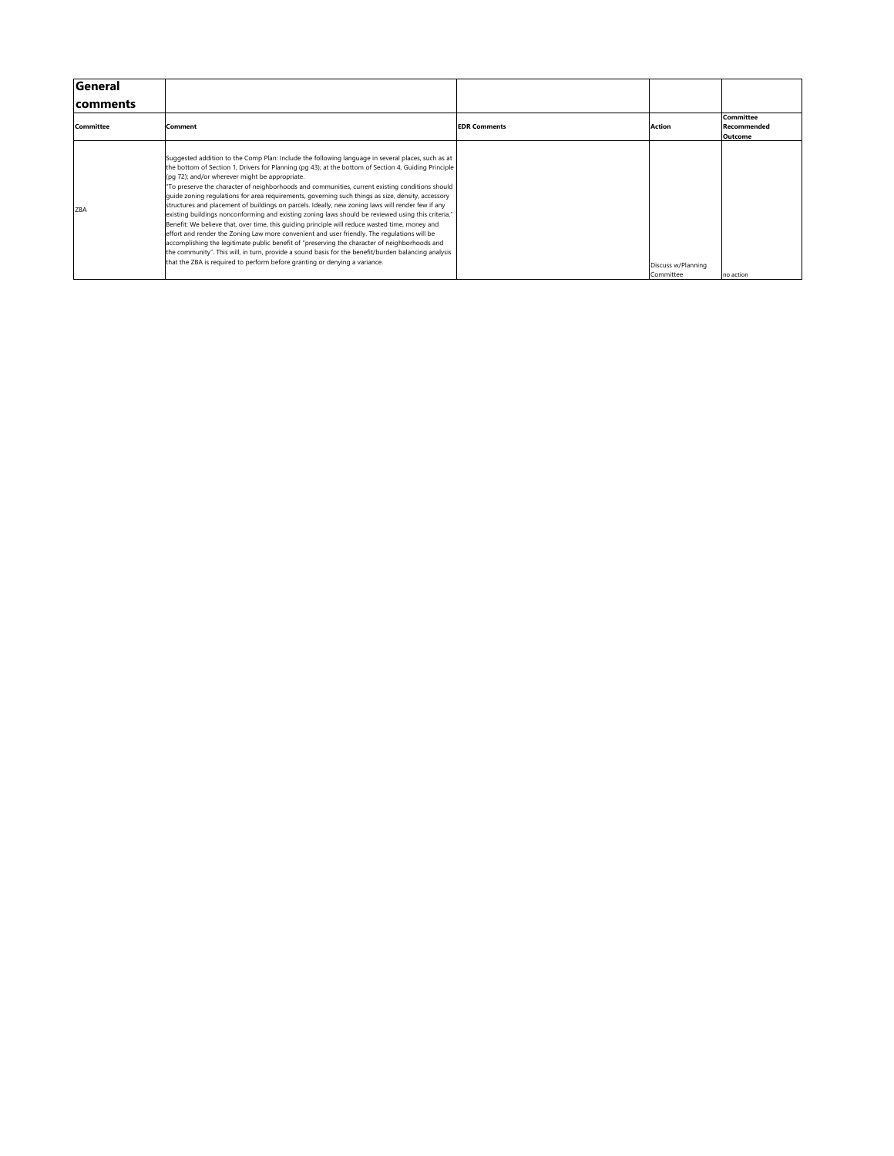| General    |                                                                                                                                                                                                                                                                                                                                                                                                                                                                                                                                                                                                                                                                                                                                                                                                                                                                                                                                                                                                                                                                                                                                                                       |                     |                                 |                                     |
|------------|-----------------------------------------------------------------------------------------------------------------------------------------------------------------------------------------------------------------------------------------------------------------------------------------------------------------------------------------------------------------------------------------------------------------------------------------------------------------------------------------------------------------------------------------------------------------------------------------------------------------------------------------------------------------------------------------------------------------------------------------------------------------------------------------------------------------------------------------------------------------------------------------------------------------------------------------------------------------------------------------------------------------------------------------------------------------------------------------------------------------------------------------------------------------------|---------------------|---------------------------------|-------------------------------------|
| comments   |                                                                                                                                                                                                                                                                                                                                                                                                                                                                                                                                                                                                                                                                                                                                                                                                                                                                                                                                                                                                                                                                                                                                                                       |                     |                                 |                                     |
| Committee  | Comment                                                                                                                                                                                                                                                                                                                                                                                                                                                                                                                                                                                                                                                                                                                                                                                                                                                                                                                                                                                                                                                                                                                                                               | <b>EDR Comments</b> | Action                          | Committee<br>Recommended<br>Outcome |
| <b>ZBA</b> | Suggested addition to the Comp Plan: Include the following language in several places, such as at<br>the bottom of Section 1, Drivers for Planning (pg 43); at the bottom of Section 4, Guiding Principle<br>(pq 72); and/or wherever might be appropriate.<br>"To preserve the character of neighborhoods and communities, current existing conditions should<br>quide zoning regulations for area requirements, governing such things as size, density, accessory<br>structures and placement of buildings on parcels. Ideally, new zoning laws will render few if any<br>existing buildings nonconforming and existing zoning laws should be reviewed using this criteria."<br>Benefit: We believe that, over time, this quiding principle will reduce wasted time, money and<br>effort and render the Zoning Law more convenient and user friendly. The regulations will be<br>accomplishing the legitimate public benefit of "preserving the character of neighborhoods and<br>the community". This will, in turn, provide a sound basis for the benefit/burden balancing analysis<br>that the ZBA is required to perform before granting or denying a variance. |                     | Discuss w/Planning<br>Committee | no action                           |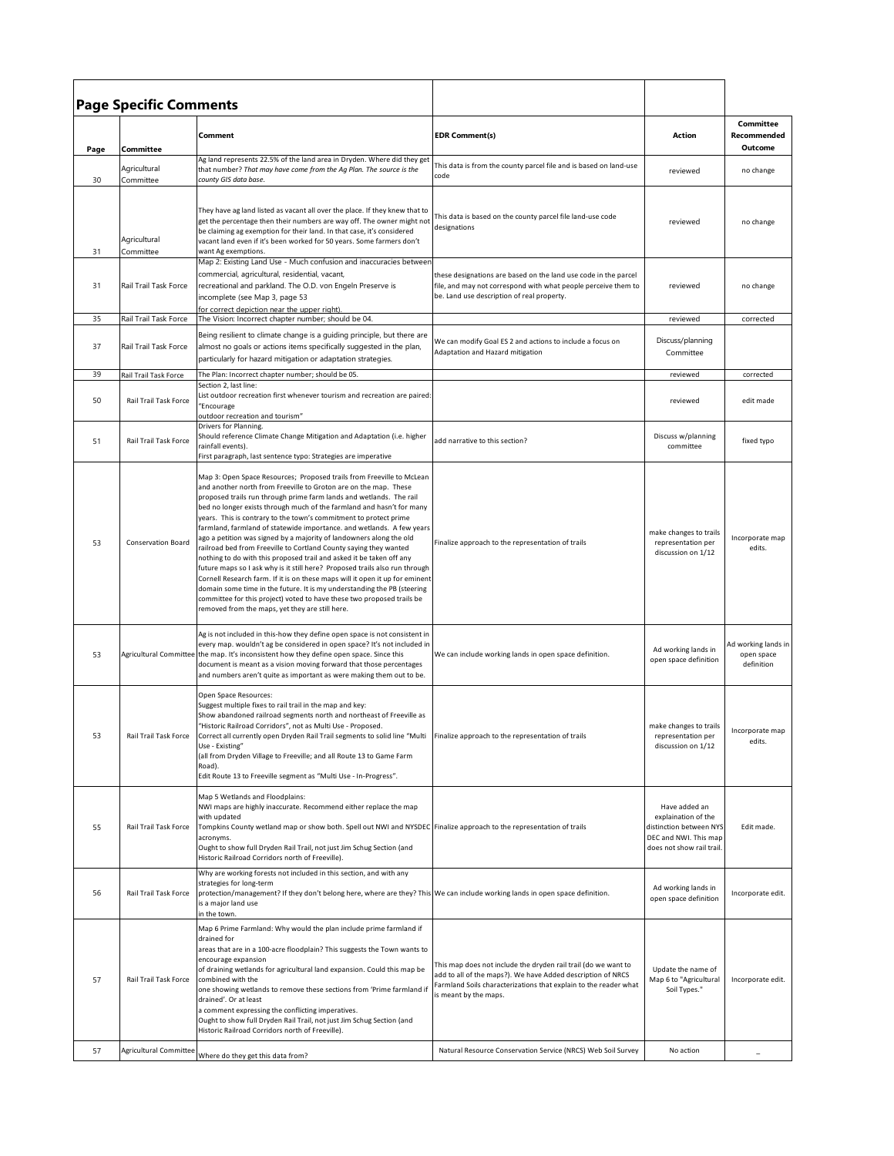|      | <b>Page Specific Comments</b> |                                                                                                                                                                                                                                                                                                                                                                                                                                                                                                                                                                                                                                                                                                                                                                                                                                                                                                                                                                                                                                    |                                                                                                                                                                                                                            |                                                                                                                       |                                                 |
|------|-------------------------------|------------------------------------------------------------------------------------------------------------------------------------------------------------------------------------------------------------------------------------------------------------------------------------------------------------------------------------------------------------------------------------------------------------------------------------------------------------------------------------------------------------------------------------------------------------------------------------------------------------------------------------------------------------------------------------------------------------------------------------------------------------------------------------------------------------------------------------------------------------------------------------------------------------------------------------------------------------------------------------------------------------------------------------|----------------------------------------------------------------------------------------------------------------------------------------------------------------------------------------------------------------------------|-----------------------------------------------------------------------------------------------------------------------|-------------------------------------------------|
| Page | Committee                     | Comment                                                                                                                                                                                                                                                                                                                                                                                                                                                                                                                                                                                                                                                                                                                                                                                                                                                                                                                                                                                                                            | <b>EDR Comment(s)</b>                                                                                                                                                                                                      | Action                                                                                                                | Committee<br>Recommended<br>Outcome             |
| 30   | Agricultural<br>Committee     | Ag land represents 22.5% of the land area in Dryden. Where did they get<br>that number? That may have come from the Ag Plan. The source is the<br>county GIS data base.                                                                                                                                                                                                                                                                                                                                                                                                                                                                                                                                                                                                                                                                                                                                                                                                                                                            | This data is from the county parcel file and is based on land-use<br>code                                                                                                                                                  | reviewed                                                                                                              | no change                                       |
| 31   | Agricultural<br>Committee     | They have ag land listed as vacant all over the place. If they knew that to<br>get the percentage then their numbers are way off. The owner might not<br>be claiming ag exemption for their land. In that case, it's considered<br>vacant land even if it's been worked for 50 years. Some farmers don't<br>want Ag exemptions.                                                                                                                                                                                                                                                                                                                                                                                                                                                                                                                                                                                                                                                                                                    | This data is based on the county parcel file land-use code<br>designations                                                                                                                                                 | reviewed                                                                                                              | no change                                       |
| 31   | Rail Trail Task Force         | Map 2: Existing Land Use - Much confusion and inaccuracies between<br>commercial, agricultural, residential, vacant,<br>recreational and parkland. The O.D. von Engeln Preserve is<br>incomplete (see Map 3, page 53<br>for correct depiction near the upper right).                                                                                                                                                                                                                                                                                                                                                                                                                                                                                                                                                                                                                                                                                                                                                               | these designations are based on the land use code in the parcel<br>file, and may not correspond with what people perceive them to<br>be. Land use description of real property.                                            | reviewed                                                                                                              | no change                                       |
| 35   | Rail Trail Task Force         | The Vision: Incorrect chapter number; should be 04.                                                                                                                                                                                                                                                                                                                                                                                                                                                                                                                                                                                                                                                                                                                                                                                                                                                                                                                                                                                |                                                                                                                                                                                                                            | reviewed                                                                                                              | corrected                                       |
| 37   | Rail Trail Task Force         | Being resilient to climate change is a guiding principle, but there are<br>almost no goals or actions items specifically suggested in the plan,<br>particularly for hazard mitigation or adaptation strategies.                                                                                                                                                                                                                                                                                                                                                                                                                                                                                                                                                                                                                                                                                                                                                                                                                    | We can modify Goal ES 2 and actions to include a focus on<br>Adaptation and Hazard mitigation                                                                                                                              | Discuss/planning<br>Committee                                                                                         |                                                 |
| 39   | Rail Trail Task Force         | The Plan: Incorrect chapter number; should be 05.                                                                                                                                                                                                                                                                                                                                                                                                                                                                                                                                                                                                                                                                                                                                                                                                                                                                                                                                                                                  |                                                                                                                                                                                                                            | reviewed                                                                                                              | corrected                                       |
| 50   | Rail Trail Task Force         | Section 2, last line:<br>List outdoor recreation first whenever tourism and recreation are paired:<br>"Encourage<br>outdoor recreation and tourism"                                                                                                                                                                                                                                                                                                                                                                                                                                                                                                                                                                                                                                                                                                                                                                                                                                                                                |                                                                                                                                                                                                                            | reviewed                                                                                                              | edit made                                       |
| 51   | <b>Rail Trail Task Force</b>  | Drivers for Planning.<br>Should reference Climate Change Mitigation and Adaptation (i.e. higher<br>rainfall events).<br>First paragraph, last sentence typo: Strategies are imperative                                                                                                                                                                                                                                                                                                                                                                                                                                                                                                                                                                                                                                                                                                                                                                                                                                             | add narrative to this section?                                                                                                                                                                                             | Discuss w/planning<br>committee                                                                                       | fixed typo                                      |
| 53   | <b>Conservation Board</b>     | Map 3: Open Space Resources; Proposed trails from Freeville to McLean<br>and another north from Freeville to Groton are on the map. These<br>proposed trails run through prime farm lands and wetlands. The rail<br>bed no longer exists through much of the farmland and hasn't for many<br>years. This is contrary to the town's commitment to protect prime<br>farmland, farmland of statewide importance. and wetlands. A few years<br>ago a petition was signed by a majority of landowners along the old<br>railroad bed from Freeville to Cortland County saying they wanted<br>nothing to do with this proposed trail and asked it be taken off any<br>future maps so I ask why is it still here? Proposed trails also run through<br>Cornell Research farm. If it is on these maps will it open it up for eminent<br>domain some time in the future. It is my understanding the PB (steering<br>committee for this project) voted to have these two proposed trails be<br>removed from the maps, yet they are still here. | Finalize approach to the representation of trails                                                                                                                                                                          | make changes to trails<br>representation per<br>discussion on 1/12                                                    | Incorporate map<br>edits.                       |
| 53   |                               | Ag is not included in this-how they define open space is not consistent in<br>every map. wouldn't ag be considered in open space? It's not included in<br>Agricultural Committee the map. It's inconsistent how they define open space. Since this<br>document is meant as a vision moving forward that those percentages<br>and numbers aren't quite as important as were making them out to be.                                                                                                                                                                                                                                                                                                                                                                                                                                                                                                                                                                                                                                  | We can include working lands in open space definition.                                                                                                                                                                     | Ad working lands in<br>open space definition                                                                          | Ad working lands in<br>open space<br>definition |
| 53   | Rail Trail Task Force         | Open Space Resources:<br>Suggest multiple fixes to rail trail in the map and key:<br>Show abandoned railroad segments north and northeast of Freeville as<br>"Historic Railroad Corridors", not as Multi Use - Proposed.<br>Correct all currently open Dryden Rail Trail segments to solid line "Multi Finalize approach to the representation of trails<br>Use - Existing"<br>(all from Dryden Village to Freeville; and all Route 13 to Game Farm<br>Road).<br>Edit Route 13 to Freeville segment as "Multi Use - In-Progress".                                                                                                                                                                                                                                                                                                                                                                                                                                                                                                  |                                                                                                                                                                                                                            | make changes to trails<br>representation per<br>discussion on 1/12                                                    | Incorporate map<br>edits.                       |
| 55   | Rail Trail Task Force         | Map 5 Wetlands and Floodplains:<br>NWI maps are highly inaccurate. Recommend either replace the map<br>with updated<br>Tompkins County wetland map or show both. Spell out NWI and NYSDEC Finalize approach to the representation of trails<br>acronyms.<br>Ought to show full Dryden Rail Trail, not just Jim Schug Section (and<br>Historic Railroad Corridors north of Freeville).                                                                                                                                                                                                                                                                                                                                                                                                                                                                                                                                                                                                                                              |                                                                                                                                                                                                                            | Have added an<br>explaination of the<br>distinction between NYS<br>DEC and NWI. This map<br>does not show rail trail. | Edit made.                                      |
| 56   | Rail Trail Task Force         | Why are working forests not included in this section, and with any<br>strategies for long-term<br>protection/management? If they don't belong here, where are they? This We can include working lands in open space definition.<br>is a major land use<br>in the town.                                                                                                                                                                                                                                                                                                                                                                                                                                                                                                                                                                                                                                                                                                                                                             |                                                                                                                                                                                                                            | Ad working lands in<br>open space definition                                                                          | Incorporate edit.                               |
| 57   | Rail Trail Task Force         | Map 6 Prime Farmland: Why would the plan include prime farmland if<br>drained for<br>areas that are in a 100-acre floodplain? This suggests the Town wants to<br>encourage expansion<br>of draining wetlands for agricultural land expansion. Could this map be<br>combined with the<br>one showing wetlands to remove these sections from 'Prime farmland if<br>drained'. Or at least<br>a comment expressing the conflicting imperatives.<br>Ought to show full Dryden Rail Trail, not just Jim Schug Section (and<br>Historic Railroad Corridors north of Freeville).                                                                                                                                                                                                                                                                                                                                                                                                                                                           | This map does not include the dryden rail trail (do we want to<br>add to all of the maps?). We have Added description of NRCS<br>Farmland Soils characterizations that explain to the reader what<br>is meant by the maps. | Update the name of<br>Map 6 to "Agricultural<br>Soil Types."                                                          | Incorporate edit.                               |
| 57   | Agricultural Committee        | Where do they get this data from?                                                                                                                                                                                                                                                                                                                                                                                                                                                                                                                                                                                                                                                                                                                                                                                                                                                                                                                                                                                                  | Natural Resource Conservation Service (NRCS) Web Soil Survey                                                                                                                                                               | No action                                                                                                             |                                                 |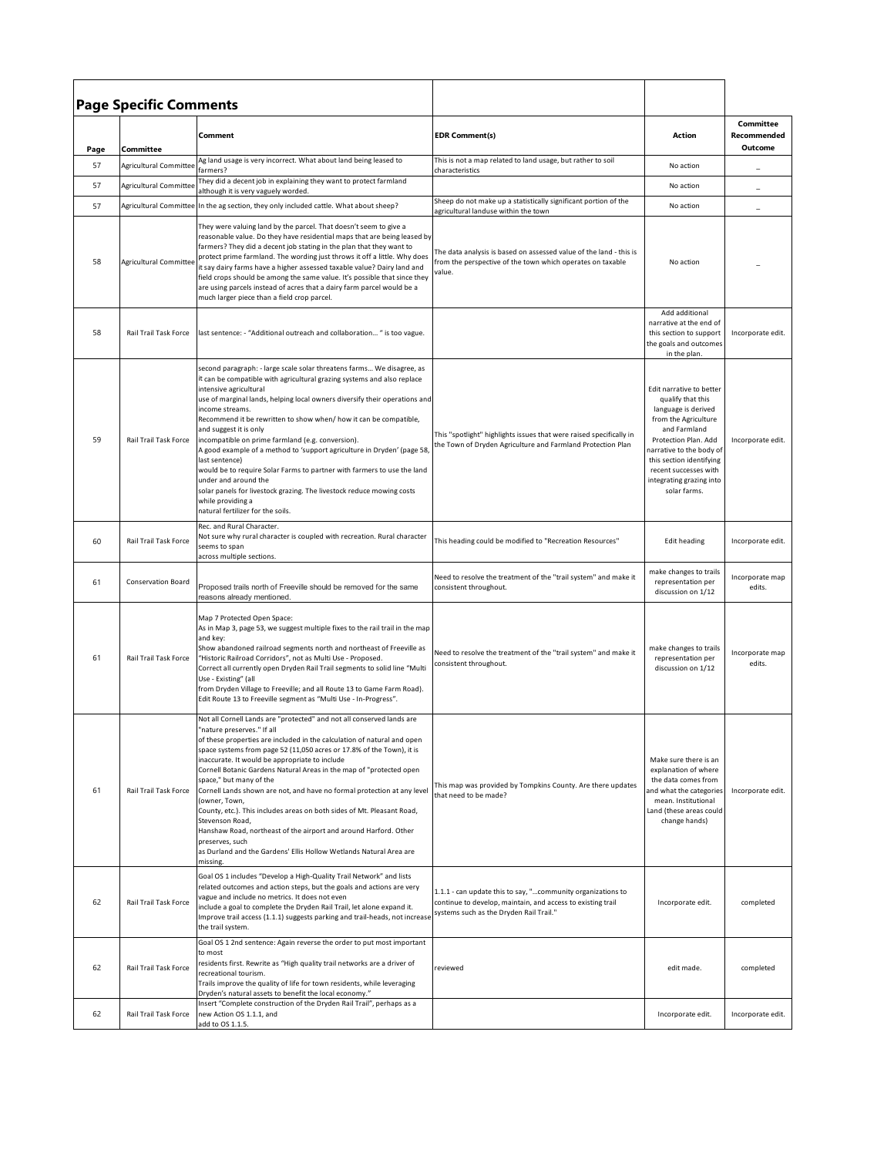|      | <b>Page Specific Comments</b> |                                                                                                                                                                                                                                                                                                                                                                                                                                                                                                                                                                                                                                                                                                                                                                               |                                                                                                                                                                       |                                                                                                                                                                                                                                                                   |                                     |
|------|-------------------------------|-------------------------------------------------------------------------------------------------------------------------------------------------------------------------------------------------------------------------------------------------------------------------------------------------------------------------------------------------------------------------------------------------------------------------------------------------------------------------------------------------------------------------------------------------------------------------------------------------------------------------------------------------------------------------------------------------------------------------------------------------------------------------------|-----------------------------------------------------------------------------------------------------------------------------------------------------------------------|-------------------------------------------------------------------------------------------------------------------------------------------------------------------------------------------------------------------------------------------------------------------|-------------------------------------|
| Page | Committee                     | Comment                                                                                                                                                                                                                                                                                                                                                                                                                                                                                                                                                                                                                                                                                                                                                                       | <b>EDR Comment(s)</b>                                                                                                                                                 | Action                                                                                                                                                                                                                                                            | Committee<br>Recommended<br>Outcome |
| 57   | Agricultural Committe         | Ag land usage is very incorrect. What about land being leased to<br>farmers?                                                                                                                                                                                                                                                                                                                                                                                                                                                                                                                                                                                                                                                                                                  | This is not a map related to land usage, but rather to soil<br>characteristics                                                                                        | No action                                                                                                                                                                                                                                                         | $\overline{a}$                      |
| 57   | <b>Agricultural Committee</b> | They did a decent job in explaining they want to protect farmland<br>although it is very vaguely worded.                                                                                                                                                                                                                                                                                                                                                                                                                                                                                                                                                                                                                                                                      |                                                                                                                                                                       | No action                                                                                                                                                                                                                                                         | $\overline{\phantom{a}}$            |
| 57   | Agricultural Committee        | In the ag section, they only included cattle. What about sheep?                                                                                                                                                                                                                                                                                                                                                                                                                                                                                                                                                                                                                                                                                                               | Sheep do not make up a statistically significant portion of the<br>agricultural landuse within the town                                                               | No action                                                                                                                                                                                                                                                         |                                     |
| 58   | <b>Agricultural Committee</b> | They were valuing land by the parcel. That doesn't seem to give a<br>reasonable value. Do they have residential maps that are being leased by<br>farmers? They did a decent job stating in the plan that they want to<br>protect prime farmland. The wording just throws it off a little. Why does<br>it say dairy farms have a higher assessed taxable value? Dairy land and<br>field crops should be among the same value. It's possible that since they<br>are using parcels instead of acres that a dairy farm parcel would be a<br>much larger piece than a field crop parcel.                                                                                                                                                                                           | The data analysis is based on assessed value of the land - this is<br>from the perspective of the town which operates on taxable<br>value.                            | No action                                                                                                                                                                                                                                                         |                                     |
| 58   | Rail Trail Task Force         | last sentence: - "Additional outreach and collaboration " is too vague.                                                                                                                                                                                                                                                                                                                                                                                                                                                                                                                                                                                                                                                                                                       |                                                                                                                                                                       | Add additional<br>narrative at the end of<br>this section to support<br>the goals and outcomes<br>in the plan.                                                                                                                                                    | Incorporate edit.                   |
| 59   | Rail Trail Task Force         | second paragraph: - large scale solar threatens farms We disagree, as<br>it can be compatible with agricultural grazing systems and also replace<br>intensive agricultural<br>use of marginal lands, helping local owners diversify their operations and<br>income streams.<br>Recommend it be rewritten to show when/ how it can be compatible,<br>and suggest it is only<br>incompatible on prime farmland (e.g. conversion).<br>A good example of a method to 'support agriculture in Dryden' (page 58,<br>last sentence)<br>would be to require Solar Farms to partner with farmers to use the land<br>under and around the<br>solar panels for livestock grazing. The livestock reduce mowing costs<br>while providing a<br>natural fertilizer for the soils.            | This "spotlight" highlights issues that were raised specifically in<br>the Town of Dryden Agriculture and Farmland Protection Plan                                    | Edit narrative to better<br>qualify that this<br>language is derived<br>from the Agriculture<br>and Farmland<br>Protection Plan. Add<br>narrative to the body of<br>this section identifying<br>recent successes with<br>integrating grazing into<br>solar farms. | Incorporate edit.                   |
| 60   | Rail Trail Task Force         | Rec. and Rural Character.<br>Not sure why rural character is coupled with recreation. Rural character<br>seems to span<br>across multiple sections.                                                                                                                                                                                                                                                                                                                                                                                                                                                                                                                                                                                                                           | This heading could be modified to "Recreation Resources"                                                                                                              | <b>Edit heading</b>                                                                                                                                                                                                                                               | Incorporate edit.                   |
| 61   | Conservation Board            | Proposed trails north of Freeville should be removed for the same<br>reasons already mentioned.                                                                                                                                                                                                                                                                                                                                                                                                                                                                                                                                                                                                                                                                               | Need to resolve the treatment of the "trail system" and make it<br>consistent throughout.                                                                             | make changes to trails<br>representation per<br>discussion on 1/12                                                                                                                                                                                                | Incorporate map<br>edits.           |
| 61   | Rail Trail Task Force         | Map 7 Protected Open Space:<br>As in Map 3, page 53, we suggest multiple fixes to the rail trail in the map<br>and key:<br>Show abandoned railroad segments north and northeast of Freeville as<br>"Historic Railroad Corridors", not as Multi Use - Proposed.<br>Correct all currently open Dryden Rail Trail segments to solid line "Multi<br>Use - Existing" (all<br>from Dryden Village to Freeville; and all Route 13 to Game Farm Road).<br>Edit Route 13 to Freeville segment as "Multi Use - In-Progress".                                                                                                                                                                                                                                                            | Need to resolve the treatment of the "trail system" and make it<br>consistent throughout.                                                                             | make changes to trails<br>representation per<br>discussion on 1/12                                                                                                                                                                                                | Incorporate map<br>edits.           |
| 61   | Rail Trail Task Force         | Not all Cornell Lands are "protected" and not all conserved lands are<br>"nature preserves." If all<br>of these properties are included in the calculation of natural and open<br>space systems from page 52 (11,050 acres or 17.8% of the Town), it is<br>inaccurate. It would be appropriate to include<br>Cornell Botanic Gardens Natural Areas in the map of "protected open<br>space," but many of the<br>Cornell Lands shown are not, and have no formal protection at any level<br>(owner. Town.<br>County, etc.). This includes areas on both sides of Mt. Pleasant Road,<br>Stevenson Road,<br>Hanshaw Road, northeast of the airport and around Harford. Other<br>preserves, such<br>as Durland and the Gardens' Ellis Hollow Wetlands Natural Area are<br>missing. | This map was provided by Tompkins County. Are there updates<br>that need to be made?                                                                                  | Make sure there is an<br>explanation of where<br>the data comes from<br>and what the categories<br>mean. Institutional<br>Land (these areas could<br>change hands)                                                                                                | Incorporate edit.                   |
| 62   | Rail Trail Task Force         | Goal OS 1 includes "Develop a High-Quality Trail Network" and lists<br>related outcomes and action steps, but the goals and actions are very<br>vague and include no metrics. It does not even<br>include a goal to complete the Dryden Rail Trail, let alone expand it.<br>Improve trail access (1.1.1) suggests parking and trail-heads, not increase<br>the trail system.                                                                                                                                                                                                                                                                                                                                                                                                  | 1.1.1 - can update this to say, "community organizations to<br>continue to develop, maintain, and access to existing trail<br>systems such as the Dryden Rail Trail." | Incorporate edit.                                                                                                                                                                                                                                                 | completed                           |
| 62   | Rail Trail Task Force         | Goal OS 1 2nd sentence: Again reverse the order to put most important<br>to most<br>residents first. Rewrite as "High quality trail networks are a driver of<br>recreational tourism.<br>Trails improve the quality of life for town residents, while leveraging<br>Dryden's natural assets to benefit the local economy."                                                                                                                                                                                                                                                                                                                                                                                                                                                    | reviewed                                                                                                                                                              | edit made.                                                                                                                                                                                                                                                        | completed                           |
| 62   | Rail Trail Task Force         | Insert "Complete construction of the Dryden Rail Trail", perhaps as a<br>new Action OS 1.1.1, and<br>add to OS 1.1.5.                                                                                                                                                                                                                                                                                                                                                                                                                                                                                                                                                                                                                                                         |                                                                                                                                                                       | Incorporate edit.                                                                                                                                                                                                                                                 | Incorporate edit.                   |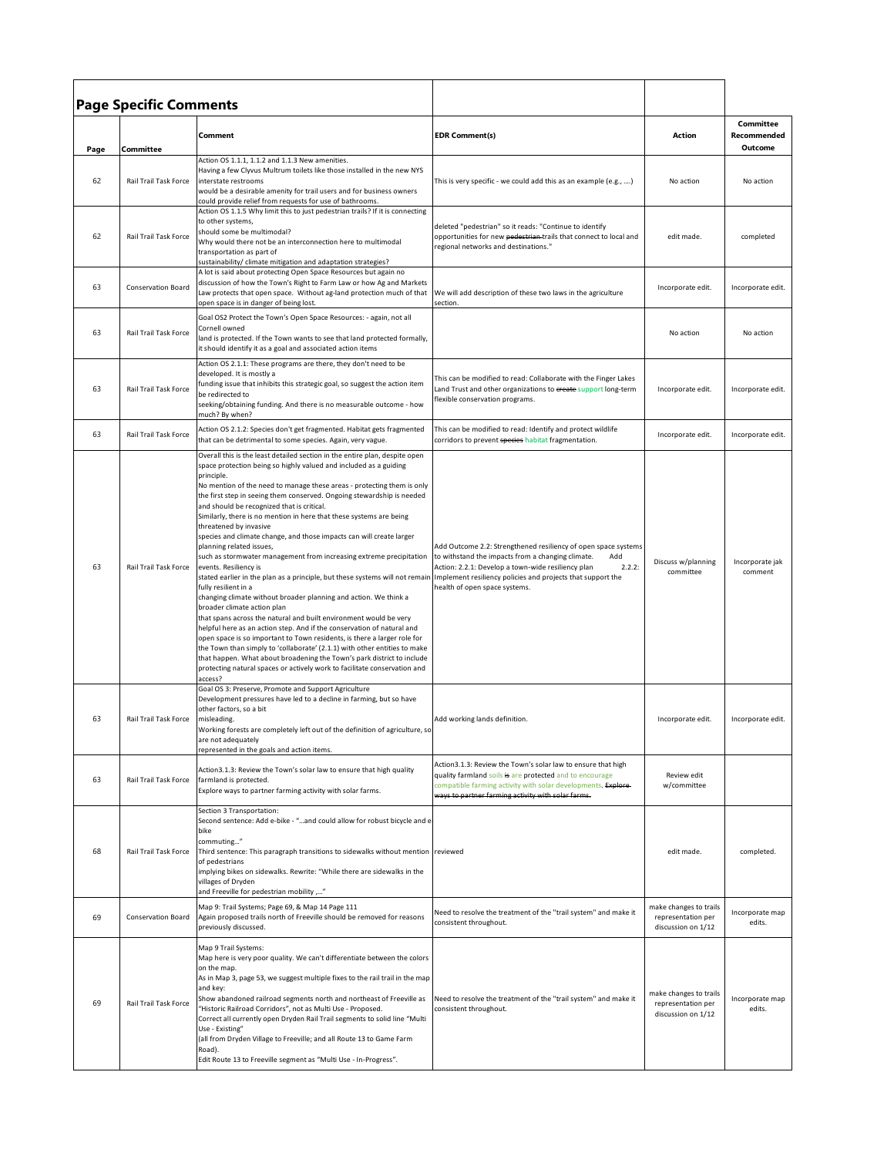|      | <b>Page Specific Comments</b> |                                                                                                                                                                                                                                                                                                                                                                                                                                                                                                                                                                                                                                                                                                                                                                                                                                                                                                                                                                                                                                                                                                                                                                                                                                                                                                                                                                                                                        |                                                                                                                                                                                                                                                 |                                                                    |                                     |
|------|-------------------------------|------------------------------------------------------------------------------------------------------------------------------------------------------------------------------------------------------------------------------------------------------------------------------------------------------------------------------------------------------------------------------------------------------------------------------------------------------------------------------------------------------------------------------------------------------------------------------------------------------------------------------------------------------------------------------------------------------------------------------------------------------------------------------------------------------------------------------------------------------------------------------------------------------------------------------------------------------------------------------------------------------------------------------------------------------------------------------------------------------------------------------------------------------------------------------------------------------------------------------------------------------------------------------------------------------------------------------------------------------------------------------------------------------------------------|-------------------------------------------------------------------------------------------------------------------------------------------------------------------------------------------------------------------------------------------------|--------------------------------------------------------------------|-------------------------------------|
| Page | Committee                     | Comment                                                                                                                                                                                                                                                                                                                                                                                                                                                                                                                                                                                                                                                                                                                                                                                                                                                                                                                                                                                                                                                                                                                                                                                                                                                                                                                                                                                                                | <b>EDR Comment(s)</b>                                                                                                                                                                                                                           | <b>Action</b>                                                      | Committee<br>Recommended<br>Outcome |
| 62   | Rail Trail Task Force         | Action OS 1.1.1, 1.1.2 and 1.1.3 New amenities.<br>Having a few Clyvus Multrum toilets like those installed in the new NYS<br>interstate restrooms<br>would be a desirable amenity for trail users and for business owners<br>could provide relief from requests for use of bathrooms.                                                                                                                                                                                                                                                                                                                                                                                                                                                                                                                                                                                                                                                                                                                                                                                                                                                                                                                                                                                                                                                                                                                                 | This is very specific - we could add this as an example (e.g., )                                                                                                                                                                                | No action                                                          | No action                           |
| 62   | Rail Trail Task Force         | Action OS 1.1.5 Why limit this to just pedestrian trails? If it is connecting<br>to other systems,<br>should some be multimodal?<br>Why would there not be an interconnection here to multimodal<br>transportation as part of<br>sustainability/ climate mitigation and adaptation strategies?                                                                                                                                                                                                                                                                                                                                                                                                                                                                                                                                                                                                                                                                                                                                                                                                                                                                                                                                                                                                                                                                                                                         | deleted "pedestrian" so it reads: "Continue to identify<br>opportunities for new pedestrian-trails that connect to local and<br>regional networks and destinations."                                                                            | edit made.                                                         | completed                           |
| 63   | <b>Conservation Board</b>     | A lot is said about protecting Open Space Resources but again no<br>discussion of how the Town's Right to Farm Law or how Ag and Markets<br>Law protects that open space. Without ag-land protection much of that<br>open space is in danger of being lost.                                                                                                                                                                                                                                                                                                                                                                                                                                                                                                                                                                                                                                                                                                                                                                                                                                                                                                                                                                                                                                                                                                                                                            | We will add description of these two laws in the agriculture<br>section.                                                                                                                                                                        | Incorporate edit.                                                  | Incorporate edit.                   |
| 63   | Rail Trail Task Force         | Goal OS2 Protect the Town's Open Space Resources: - again, not all<br>Cornell owned<br>land is protected. If the Town wants to see that land protected formally,<br>it should identify it as a goal and associated action items                                                                                                                                                                                                                                                                                                                                                                                                                                                                                                                                                                                                                                                                                                                                                                                                                                                                                                                                                                                                                                                                                                                                                                                        |                                                                                                                                                                                                                                                 | No action                                                          | No action                           |
| 63   | Rail Trail Task Force         | Action OS 2.1.1: These programs are there, they don't need to be<br>developed. It is mostly a<br>funding issue that inhibits this strategic goal, so suggest the action item<br>be redirected to<br>seeking/obtaining funding. And there is no measurable outcome - how<br>much? By when?                                                                                                                                                                                                                                                                                                                                                                                                                                                                                                                                                                                                                                                                                                                                                                                                                                                                                                                                                                                                                                                                                                                              | This can be modified to read: Collaborate with the Finger Lakes<br>Land Trust and other organizations to create support long-term<br>flexible conservation programs.                                                                            | Incorporate edit.                                                  | Incorporate edit.                   |
| 63   | Rail Trail Task Force         | Action OS 2.1.2: Species don't get fragmented. Habitat gets fragmented<br>that can be detrimental to some species. Again, very vague.                                                                                                                                                                                                                                                                                                                                                                                                                                                                                                                                                                                                                                                                                                                                                                                                                                                                                                                                                                                                                                                                                                                                                                                                                                                                                  | This can be modified to read: Identify and protect wildlife<br>corridors to prevent species habitat fragmentation.                                                                                                                              | Incorporate edit.                                                  | Incorporate edit.                   |
| 63   | Rail Trail Task Force         | Overall this is the least detailed section in the entire plan, despite open<br>space protection being so highly valued and included as a guiding<br>principle.<br>No mention of the need to manage these areas - protecting them is only<br>the first step in seeing them conserved. Ongoing stewardship is needed<br>and should be recognized that is critical.<br>Similarly, there is no mention in here that these systems are being<br>threatened by invasive<br>species and climate change, and those impacts can will create larger<br>planning related issues,<br>such as stormwater management from increasing extreme precipitation<br>events. Resiliency is<br>stated earlier in the plan as a principle, but these systems will not remain Implement resiliency policies and projects that support the<br>fully resilient in a<br>changing climate without broader planning and action. We think a<br>broader climate action plan<br>that spans across the natural and built environment would be very<br>helpful here as an action step. And if the conservation of natural and<br>open space is so important to Town residents, is there a larger role for<br>the Town than simply to 'collaborate' (2.1.1) with other entities to make<br>that happen. What about broadening the Town's park district to include<br>protecting natural spaces or actively work to facilitate conservation and<br>access? | Add Outcome 2.2: Strengthened resiliency of open space systems<br>to withstand the impacts from a changing climate.<br>Add<br>Action: 2.2.1: Develop a town-wide resiliency plan<br>2.2.2:<br>health of open space systems.                     | Discuss w/planning<br>committee                                    | Incorporate jak<br>comment          |
| 63   | Rail Trail Task Force         | Goal OS 3: Preserve, Promote and Support Agriculture<br>Development pressures have led to a decline in farming, but so have<br>other factors, so a bit<br>misleading.<br>Working forests are completely left out of the definition of agriculture, so<br>are not adequately<br>represented in the goals and action items.                                                                                                                                                                                                                                                                                                                                                                                                                                                                                                                                                                                                                                                                                                                                                                                                                                                                                                                                                                                                                                                                                              | Add working lands definition.                                                                                                                                                                                                                   | Incorporate edit.                                                  | Incorporate edit.                   |
| 63   | Rail Trail Task Force         | Action 3.1.3: Review the Town's solar law to ensure that high quality<br>farmland is protected.<br>Explore ways to partner farming activity with solar farms.                                                                                                                                                                                                                                                                                                                                                                                                                                                                                                                                                                                                                                                                                                                                                                                                                                                                                                                                                                                                                                                                                                                                                                                                                                                          | Action3.1.3: Review the Town's solar law to ensure that high<br>quality farmland soils is are protected and to encourage<br>compatible farming activity with solar developments. Explore-<br>ways to partner farming activity with solar farms. | Review edit<br>w/committee                                         |                                     |
| 68   | Rail Trail Task Force         | Section 3 Transportation:<br>Second sentence: Add e-bike - "and could allow for robust bicycle and e<br>bike<br>commuting"<br>Third sentence: This paragraph transitions to sidewalks without mention reviewed<br>of pedestrians<br>implying bikes on sidewalks. Rewrite: "While there are sidewalks in the<br>villages of Dryden<br>and Freeville for pedestrian mobility ,"                                                                                                                                                                                                                                                                                                                                                                                                                                                                                                                                                                                                                                                                                                                                                                                                                                                                                                                                                                                                                                          |                                                                                                                                                                                                                                                 | edit made.                                                         | completed.                          |
| 69   | <b>Conservation Board</b>     | Map 9: Trail Systems; Page 69, & Map 14 Page 111<br>Again proposed trails north of Freeville should be removed for reasons<br>previously discussed.                                                                                                                                                                                                                                                                                                                                                                                                                                                                                                                                                                                                                                                                                                                                                                                                                                                                                                                                                                                                                                                                                                                                                                                                                                                                    | Need to resolve the treatment of the "trail system" and make it<br>consistent throughout.                                                                                                                                                       | make changes to trails<br>representation per<br>discussion on 1/12 | Incorporate map<br>edits.           |
| 69   | Rail Trail Task Force         | Map 9 Trail Systems:<br>Map here is very poor quality. We can't differentiate between the colors<br>on the map.<br>As in Map 3, page 53, we suggest multiple fixes to the rail trail in the map<br>and key:<br>Show abandoned railroad segments north and northeast of Freeville as<br>"Historic Railroad Corridors", not as Multi Use - Proposed.<br>Correct all currently open Dryden Rail Trail segments to solid line "Multi<br>Use - Existing"<br>(all from Dryden Village to Freeville; and all Route 13 to Game Farm<br>Road).<br>Edit Route 13 to Freeville segment as "Multi Use - In-Progress".                                                                                                                                                                                                                                                                                                                                                                                                                                                                                                                                                                                                                                                                                                                                                                                                              | Need to resolve the treatment of the "trail system" and make it<br>consistent throughout.                                                                                                                                                       | make changes to trails<br>representation per<br>discussion on 1/12 | Incorporate map<br>edits.           |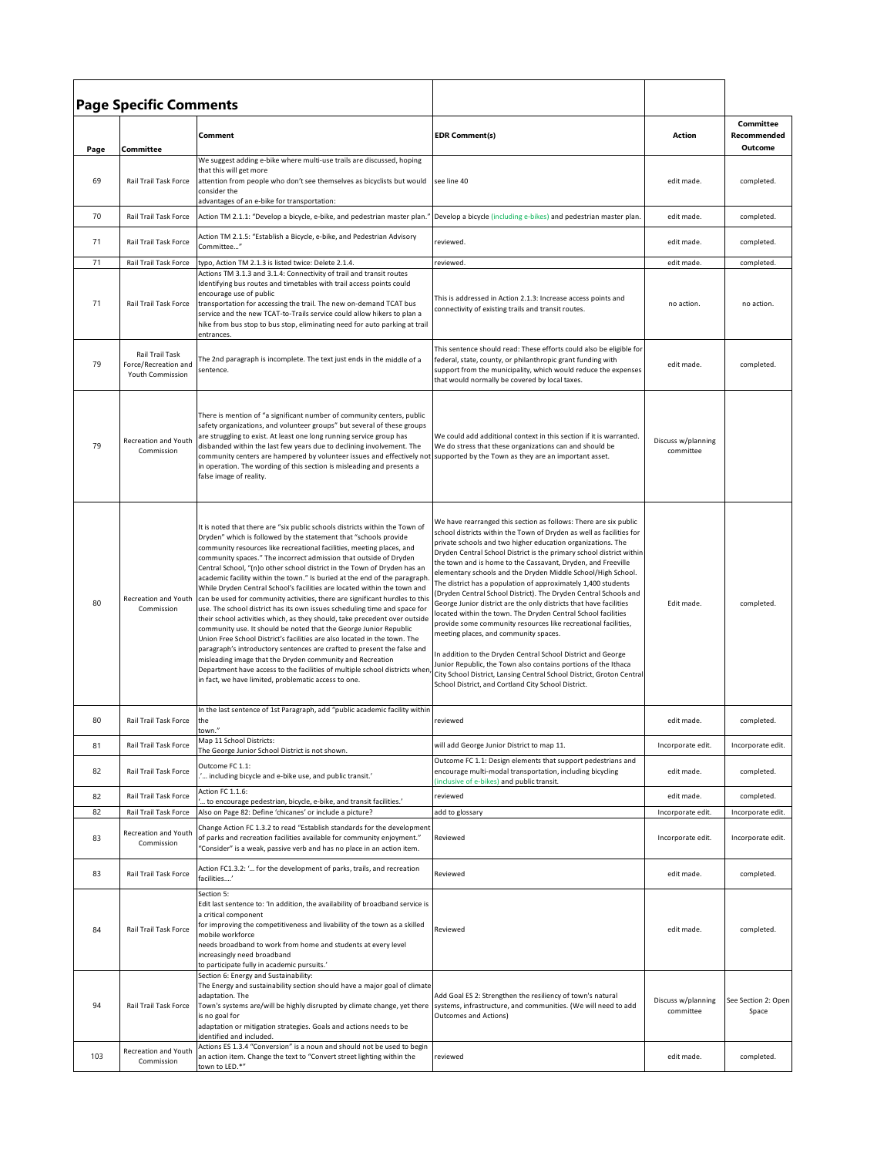| Committee<br><b>EDR Comment(s)</b><br>Action<br>Recommended<br>Comment<br>Outcome<br>Committee<br>Page<br>We suggest adding e-bike where multi-use trails are discussed, hoping<br>that this will get more<br>69<br>Rail Trail Task Force<br>attention from people who don't see themselves as bicyclists but would<br>see line 40<br>edit made.<br>completed.<br>consider the<br>advantages of an e-bike for transportation:<br>70<br>Rail Trail Task Force<br>edit made.<br>Action TM 2.1.1: "Develop a bicycle, e-bike, and pedestrian master plan." Develop a bicycle (including e-bikes) and pedestrian master plan.<br>completed.<br>Action TM 2.1.5: "Establish a Bicycle, e-bike, and Pedestrian Advisory<br>71<br>Rail Trail Task Force<br>reviewed.<br>edit made.<br>completed.<br>Committee"<br>71<br>Rail Trail Task Force<br>typo, Action TM 2.1.3 is listed twice: Delete 2.1.4.<br>reviewed.<br>edit made.<br>completed.<br>Actions TM 3.1.3 and 3.1.4: Connectivity of trail and transit routes<br>Identifying bus routes and timetables with trail access points could<br>encourage use of public<br>This is addressed in Action 2.1.3: Increase access points and<br>71<br>transportation for accessing the trail. The new on-demand TCAT bus<br>Rail Trail Task Force<br>no action.<br>no action.<br>connectivity of existing trails and transit routes.<br>service and the new TCAT-to-Trails service could allow hikers to plan a<br>hike from bus stop to bus stop, eliminating need for auto parking at trail<br>entrances.<br>This sentence should read: These efforts could also be eligible for<br>Rail Trail Task<br>The 2nd paragraph is incomplete. The text just ends in the middle of a<br>federal, state, county, or philanthropic grant funding with<br>79<br>Force/Recreation and<br>edit made.<br>completed.<br>sentence.<br>support from the municipality, which would reduce the expenses<br>Youth Commission<br>that would normally be covered by local taxes.<br>There is mention of "a significant number of community centers, public<br>safety organizations, and volunteer groups" but several of these groups<br>are struggling to exist. At least one long running service group has<br>We could add additional context in this section if it is warranted.<br>Recreation and Youth<br>Discuss w/planning<br>79<br>disbanded within the last few years due to declining involvement. The<br>We do stress that these organizations can and should be<br>Commission<br>committee<br>community centers are hampered by volunteer issues and effectively not supported by the Town as they are an important asset.<br>in operation. The wording of this section is misleading and presents a<br>false image of reality.<br>We have rearranged this section as follows: There are six public<br>It is noted that there are "six public schools districts within the Town of<br>school districts within the Town of Dryden as well as facilities for<br>Dryden" which is followed by the statement that "schools provide<br>private schools and two higher education organizations. The<br>community resources like recreational facilities, meeting places, and<br>Dryden Central School District is the primary school district within<br>community spaces." The incorrect admission that outside of Dryden<br>the town and is home to the Cassavant, Dryden, and Freeville<br>Central School, "(n)o other school district in the Town of Dryden has an<br>elementary schools and the Dryden Middle School/High School.<br>academic facility within the town." Is buried at the end of the paragraph<br>The district has a population of approximately 1,400 students<br>While Dryden Central School's facilities are located within the town and<br>(Dryden Central School District). The Dryden Central Schools and<br>Recreation and Youth<br>can be used for community activities, there are significant hurdles to this<br>80<br>George Junior district are the only districts that have facilities<br>Edit made.<br>completed.<br>Commission<br>use. The school district has its own issues scheduling time and space for<br>located within the town. The Dryden Central School facilities<br>their school activities which, as they should, take precedent over outside<br>provide some community resources like recreational facilities,<br>community use. It should be noted that the George Junior Republic<br>meeting places, and community spaces.<br>Union Free School District's facilities are also located in the town. The<br>paragraph's introductory sentences are crafted to present the false and<br>In addition to the Dryden Central School District and George<br>misleading image that the Dryden community and Recreation<br>Junior Republic, the Town also contains portions of the Ithaca<br>Department have access to the facilities of multiple school districts when<br>City School District, Lansing Central School District, Groton Central<br>in fact, we have limited, problematic access to one.<br>School District, and Cortland City School District.<br>In the last sentence of 1st Paragraph, add "public academic facility within<br>80<br>Rail Trail Task Force<br>edit made.<br>the<br>reviewed<br>completed.<br>town."<br>Map 11 School Districts:<br>Rail Trail Task Force<br>81<br>will add George Junior District to map 11.<br>Incorporate edit.<br>Incorporate edit.<br>The George Junior School District is not shown.<br>Outcome FC 1.1: Design elements that support pedestrians and<br>Outcome FC 1.1:<br>82<br>Rail Trail Task Force<br>completed.<br>encourage multi-modal transportation, including bicycling<br>edit made.<br>' including bicycle and e-bike use, and public transit.'<br>inclusive of e-bikes) and public transit.<br>Action FC 1.1.6:<br>82<br>Rail Trail Task Force<br>edit made.<br>completed.<br>reviewed<br>. to encourage pedestrian, bicycle, e-bike, and transit facilities.'<br>82<br>Rail Trail Task Force<br>Also on Page 82: Define 'chicanes' or include a picture?<br>add to glossary<br>Incorporate edit.<br>Incorporate edit.<br>Change Action FC 1.3.2 to read "Establish standards for the development<br>Recreation and Youth<br>83<br>of parks and recreation facilities available for community enjoyment."<br>Reviewed<br>Incorporate edit.<br>Incorporate edit.<br>Commission<br>"Consider" is a weak, passive verb and has no place in an action item.<br>Action FC1.3.2: ' for the development of parks, trails, and recreation<br>83<br>Rail Trail Task Force<br>Reviewed<br>edit made.<br>completed.<br>facilities'<br>Section 5:<br>Edit last sentence to: 'In addition, the availability of broadband service is<br>a critical component<br>for improving the competitiveness and livability of the town as a skilled<br>Rail Trail Task Force<br>84<br>Reviewed<br>edit made.<br>completed.<br>mobile workforce<br>needs broadband to work from home and students at every level<br>increasingly need broadband<br>to participate fully in academic pursuits.'<br>Section 6: Energy and Sustainability:<br>The Energy and sustainability section should have a major goal of climate<br>Add Goal ES 2: Strengthen the resiliency of town's natural<br>adaptation. The<br>Discuss w/planning<br>94<br>Rail Trail Task Force<br>Town's systems are/will be highly disrupted by climate change, yet there<br>systems, infrastructure, and communities. (We will need to add<br>committee<br>Space<br>is no goal for<br>Outcomes and Actions)<br>adaptation or mitigation strategies. Goals and actions needs to be<br>identified and included.<br>Actions ES 1.3.4 "Conversion" is a noun and should not be used to begin<br>Recreation and Youth<br>103<br>an action item. Change the text to "Convert street lighting within the<br>reviewed<br>edit made.<br>completed.<br>Commission | <b>Page Specific Comments</b> |                |  |                     |
|----------------------------------------------------------------------------------------------------------------------------------------------------------------------------------------------------------------------------------------------------------------------------------------------------------------------------------------------------------------------------------------------------------------------------------------------------------------------------------------------------------------------------------------------------------------------------------------------------------------------------------------------------------------------------------------------------------------------------------------------------------------------------------------------------------------------------------------------------------------------------------------------------------------------------------------------------------------------------------------------------------------------------------------------------------------------------------------------------------------------------------------------------------------------------------------------------------------------------------------------------------------------------------------------------------------------------------------------------------------------------------------------------------------------------------------------------------------------------------------------------------------------------------------------------------------------------------------------------------------------------------------------------------------------------------------------------------------------------------------------------------------------------------------------------------------------------------------------------------------------------------------------------------------------------------------------------------------------------------------------------------------------------------------------------------------------------------------------------------------------------------------------------------------------------------------------------------------------------------------------------------------------------------------------------------------------------------------------------------------------------------------------------------------------------------------------------------------------------------------------------------------------------------------------------------------------------------------------------------------------------------------------------------------------------------------------------------------------------------------------------------------------------------------------------------------------------------------------------------------------------------------------------------------------------------------------------------------------------------------------------------------------------------------------------------------------------------------------------------------------------------------------------------------------------------------------------------------------------------------------------------------------------------------------------------------------------------------------------------------------------------------------------------------------------------------------------------------------------------------------------------------------------------------------------------------------------------------------------------------------------------------------------------------------------------------------------------------------------------------------------------------------------------------------------------------------------------------------------------------------------------------------------------------------------------------------------------------------------------------------------------------------------------------------------------------------------------------------------------------------------------------------------------------------------------------------------------------------------------------------------------------------------------------------------------------------------------------------------------------------------------------------------------------------------------------------------------------------------------------------------------------------------------------------------------------------------------------------------------------------------------------------------------------------------------------------------------------------------------------------------------------------------------------------------------------------------------------------------------------------------------------------------------------------------------------------------------------------------------------------------------------------------------------------------------------------------------------------------------------------------------------------------------------------------------------------------------------------------------------------------------------------------------------------------------------------------------------------------------------------------------------------------------------------------------------------------------------------------------------------------------------------------------------------------------------------------------------------------------------------------------------------------------------------------------------------------------------------------------------------------------------------------------------------------------------------------------------------------------------------------------------------------------------------------------------------------------------------------------------------------------------------------------------------------------------------------------------------------------------------------------------------------------------------------------------------------------------------------------------------------------------------------------------------------------------------------------------------------------------------------------------------------------------------------------------------------------------------------------------------------------------------------------------------------------------------------------------------------------------------------------------------------------------------------------------------------------------------------------------------------------------------------------------------------------------------------------------------------------------------------------------------------------------------------------------------------------------------------------------------------------------------------------------------------------------------------------------------------------------------------------------------------------------------------------------------------------------------------------------------------------------------------------------------------------------------------------------------------------------------------------------------------------------------------------------------------------------------------------------------------------------------------------------------------------------------------------------------------------------------------------------------------------------------------------------------------------------------------------------------------------------------------------------------------------------------------------------------------------------------------------------------------------------------------------------|-------------------------------|----------------|--|---------------------|
|                                                                                                                                                                                                                                                                                                                                                                                                                                                                                                                                                                                                                                                                                                                                                                                                                                                                                                                                                                                                                                                                                                                                                                                                                                                                                                                                                                                                                                                                                                                                                                                                                                                                                                                                                                                                                                                                                                                                                                                                                                                                                                                                                                                                                                                                                                                                                                                                                                                                                                                                                                                                                                                                                                                                                                                                                                                                                                                                                                                                                                                                                                                                                                                                                                                                                                                                                                                                                                                                                                                                                                                                                                                                                                                                                                                                                                                                                                                                                                                                                                                                                                                                                                                                                                                                                                                                                                                                                                                                                                                                                                                                                                                                                                                                                                                                                                                                                                                                                                                                                                                                                                                                                                                                                                                                                                                                                                                                                                                                                                                                                                                                                                                                                                                                                                                                                                                                                                                                                                                                                                                                                                                                                                                                                                                                                                                                                                                                                                                                                                                                                                                                                                                                                                                                                                                                                                                                                                                                                                                                                                                                                                                                                                                                                                                                                                                                                                                                                                                                                                                                                                                                                                                                                                                                                                                                                                                                                                                                        |                               |                |  |                     |
|                                                                                                                                                                                                                                                                                                                                                                                                                                                                                                                                                                                                                                                                                                                                                                                                                                                                                                                                                                                                                                                                                                                                                                                                                                                                                                                                                                                                                                                                                                                                                                                                                                                                                                                                                                                                                                                                                                                                                                                                                                                                                                                                                                                                                                                                                                                                                                                                                                                                                                                                                                                                                                                                                                                                                                                                                                                                                                                                                                                                                                                                                                                                                                                                                                                                                                                                                                                                                                                                                                                                                                                                                                                                                                                                                                                                                                                                                                                                                                                                                                                                                                                                                                                                                                                                                                                                                                                                                                                                                                                                                                                                                                                                                                                                                                                                                                                                                                                                                                                                                                                                                                                                                                                                                                                                                                                                                                                                                                                                                                                                                                                                                                                                                                                                                                                                                                                                                                                                                                                                                                                                                                                                                                                                                                                                                                                                                                                                                                                                                                                                                                                                                                                                                                                                                                                                                                                                                                                                                                                                                                                                                                                                                                                                                                                                                                                                                                                                                                                                                                                                                                                                                                                                                                                                                                                                                                                                                                                                        |                               |                |  |                     |
|                                                                                                                                                                                                                                                                                                                                                                                                                                                                                                                                                                                                                                                                                                                                                                                                                                                                                                                                                                                                                                                                                                                                                                                                                                                                                                                                                                                                                                                                                                                                                                                                                                                                                                                                                                                                                                                                                                                                                                                                                                                                                                                                                                                                                                                                                                                                                                                                                                                                                                                                                                                                                                                                                                                                                                                                                                                                                                                                                                                                                                                                                                                                                                                                                                                                                                                                                                                                                                                                                                                                                                                                                                                                                                                                                                                                                                                                                                                                                                                                                                                                                                                                                                                                                                                                                                                                                                                                                                                                                                                                                                                                                                                                                                                                                                                                                                                                                                                                                                                                                                                                                                                                                                                                                                                                                                                                                                                                                                                                                                                                                                                                                                                                                                                                                                                                                                                                                                                                                                                                                                                                                                                                                                                                                                                                                                                                                                                                                                                                                                                                                                                                                                                                                                                                                                                                                                                                                                                                                                                                                                                                                                                                                                                                                                                                                                                                                                                                                                                                                                                                                                                                                                                                                                                                                                                                                                                                                                                                        |                               |                |  |                     |
|                                                                                                                                                                                                                                                                                                                                                                                                                                                                                                                                                                                                                                                                                                                                                                                                                                                                                                                                                                                                                                                                                                                                                                                                                                                                                                                                                                                                                                                                                                                                                                                                                                                                                                                                                                                                                                                                                                                                                                                                                                                                                                                                                                                                                                                                                                                                                                                                                                                                                                                                                                                                                                                                                                                                                                                                                                                                                                                                                                                                                                                                                                                                                                                                                                                                                                                                                                                                                                                                                                                                                                                                                                                                                                                                                                                                                                                                                                                                                                                                                                                                                                                                                                                                                                                                                                                                                                                                                                                                                                                                                                                                                                                                                                                                                                                                                                                                                                                                                                                                                                                                                                                                                                                                                                                                                                                                                                                                                                                                                                                                                                                                                                                                                                                                                                                                                                                                                                                                                                                                                                                                                                                                                                                                                                                                                                                                                                                                                                                                                                                                                                                                                                                                                                                                                                                                                                                                                                                                                                                                                                                                                                                                                                                                                                                                                                                                                                                                                                                                                                                                                                                                                                                                                                                                                                                                                                                                                                                                        |                               |                |  |                     |
|                                                                                                                                                                                                                                                                                                                                                                                                                                                                                                                                                                                                                                                                                                                                                                                                                                                                                                                                                                                                                                                                                                                                                                                                                                                                                                                                                                                                                                                                                                                                                                                                                                                                                                                                                                                                                                                                                                                                                                                                                                                                                                                                                                                                                                                                                                                                                                                                                                                                                                                                                                                                                                                                                                                                                                                                                                                                                                                                                                                                                                                                                                                                                                                                                                                                                                                                                                                                                                                                                                                                                                                                                                                                                                                                                                                                                                                                                                                                                                                                                                                                                                                                                                                                                                                                                                                                                                                                                                                                                                                                                                                                                                                                                                                                                                                                                                                                                                                                                                                                                                                                                                                                                                                                                                                                                                                                                                                                                                                                                                                                                                                                                                                                                                                                                                                                                                                                                                                                                                                                                                                                                                                                                                                                                                                                                                                                                                                                                                                                                                                                                                                                                                                                                                                                                                                                                                                                                                                                                                                                                                                                                                                                                                                                                                                                                                                                                                                                                                                                                                                                                                                                                                                                                                                                                                                                                                                                                                                                        |                               |                |  |                     |
|                                                                                                                                                                                                                                                                                                                                                                                                                                                                                                                                                                                                                                                                                                                                                                                                                                                                                                                                                                                                                                                                                                                                                                                                                                                                                                                                                                                                                                                                                                                                                                                                                                                                                                                                                                                                                                                                                                                                                                                                                                                                                                                                                                                                                                                                                                                                                                                                                                                                                                                                                                                                                                                                                                                                                                                                                                                                                                                                                                                                                                                                                                                                                                                                                                                                                                                                                                                                                                                                                                                                                                                                                                                                                                                                                                                                                                                                                                                                                                                                                                                                                                                                                                                                                                                                                                                                                                                                                                                                                                                                                                                                                                                                                                                                                                                                                                                                                                                                                                                                                                                                                                                                                                                                                                                                                                                                                                                                                                                                                                                                                                                                                                                                                                                                                                                                                                                                                                                                                                                                                                                                                                                                                                                                                                                                                                                                                                                                                                                                                                                                                                                                                                                                                                                                                                                                                                                                                                                                                                                                                                                                                                                                                                                                                                                                                                                                                                                                                                                                                                                                                                                                                                                                                                                                                                                                                                                                                                                                        |                               |                |  |                     |
|                                                                                                                                                                                                                                                                                                                                                                                                                                                                                                                                                                                                                                                                                                                                                                                                                                                                                                                                                                                                                                                                                                                                                                                                                                                                                                                                                                                                                                                                                                                                                                                                                                                                                                                                                                                                                                                                                                                                                                                                                                                                                                                                                                                                                                                                                                                                                                                                                                                                                                                                                                                                                                                                                                                                                                                                                                                                                                                                                                                                                                                                                                                                                                                                                                                                                                                                                                                                                                                                                                                                                                                                                                                                                                                                                                                                                                                                                                                                                                                                                                                                                                                                                                                                                                                                                                                                                                                                                                                                                                                                                                                                                                                                                                                                                                                                                                                                                                                                                                                                                                                                                                                                                                                                                                                                                                                                                                                                                                                                                                                                                                                                                                                                                                                                                                                                                                                                                                                                                                                                                                                                                                                                                                                                                                                                                                                                                                                                                                                                                                                                                                                                                                                                                                                                                                                                                                                                                                                                                                                                                                                                                                                                                                                                                                                                                                                                                                                                                                                                                                                                                                                                                                                                                                                                                                                                                                                                                                                                        |                               |                |  |                     |
|                                                                                                                                                                                                                                                                                                                                                                                                                                                                                                                                                                                                                                                                                                                                                                                                                                                                                                                                                                                                                                                                                                                                                                                                                                                                                                                                                                                                                                                                                                                                                                                                                                                                                                                                                                                                                                                                                                                                                                                                                                                                                                                                                                                                                                                                                                                                                                                                                                                                                                                                                                                                                                                                                                                                                                                                                                                                                                                                                                                                                                                                                                                                                                                                                                                                                                                                                                                                                                                                                                                                                                                                                                                                                                                                                                                                                                                                                                                                                                                                                                                                                                                                                                                                                                                                                                                                                                                                                                                                                                                                                                                                                                                                                                                                                                                                                                                                                                                                                                                                                                                                                                                                                                                                                                                                                                                                                                                                                                                                                                                                                                                                                                                                                                                                                                                                                                                                                                                                                                                                                                                                                                                                                                                                                                                                                                                                                                                                                                                                                                                                                                                                                                                                                                                                                                                                                                                                                                                                                                                                                                                                                                                                                                                                                                                                                                                                                                                                                                                                                                                                                                                                                                                                                                                                                                                                                                                                                                                                        |                               |                |  |                     |
|                                                                                                                                                                                                                                                                                                                                                                                                                                                                                                                                                                                                                                                                                                                                                                                                                                                                                                                                                                                                                                                                                                                                                                                                                                                                                                                                                                                                                                                                                                                                                                                                                                                                                                                                                                                                                                                                                                                                                                                                                                                                                                                                                                                                                                                                                                                                                                                                                                                                                                                                                                                                                                                                                                                                                                                                                                                                                                                                                                                                                                                                                                                                                                                                                                                                                                                                                                                                                                                                                                                                                                                                                                                                                                                                                                                                                                                                                                                                                                                                                                                                                                                                                                                                                                                                                                                                                                                                                                                                                                                                                                                                                                                                                                                                                                                                                                                                                                                                                                                                                                                                                                                                                                                                                                                                                                                                                                                                                                                                                                                                                                                                                                                                                                                                                                                                                                                                                                                                                                                                                                                                                                                                                                                                                                                                                                                                                                                                                                                                                                                                                                                                                                                                                                                                                                                                                                                                                                                                                                                                                                                                                                                                                                                                                                                                                                                                                                                                                                                                                                                                                                                                                                                                                                                                                                                                                                                                                                                                        |                               |                |  |                     |
|                                                                                                                                                                                                                                                                                                                                                                                                                                                                                                                                                                                                                                                                                                                                                                                                                                                                                                                                                                                                                                                                                                                                                                                                                                                                                                                                                                                                                                                                                                                                                                                                                                                                                                                                                                                                                                                                                                                                                                                                                                                                                                                                                                                                                                                                                                                                                                                                                                                                                                                                                                                                                                                                                                                                                                                                                                                                                                                                                                                                                                                                                                                                                                                                                                                                                                                                                                                                                                                                                                                                                                                                                                                                                                                                                                                                                                                                                                                                                                                                                                                                                                                                                                                                                                                                                                                                                                                                                                                                                                                                                                                                                                                                                                                                                                                                                                                                                                                                                                                                                                                                                                                                                                                                                                                                                                                                                                                                                                                                                                                                                                                                                                                                                                                                                                                                                                                                                                                                                                                                                                                                                                                                                                                                                                                                                                                                                                                                                                                                                                                                                                                                                                                                                                                                                                                                                                                                                                                                                                                                                                                                                                                                                                                                                                                                                                                                                                                                                                                                                                                                                                                                                                                                                                                                                                                                                                                                                                                                        |                               |                |  |                     |
|                                                                                                                                                                                                                                                                                                                                                                                                                                                                                                                                                                                                                                                                                                                                                                                                                                                                                                                                                                                                                                                                                                                                                                                                                                                                                                                                                                                                                                                                                                                                                                                                                                                                                                                                                                                                                                                                                                                                                                                                                                                                                                                                                                                                                                                                                                                                                                                                                                                                                                                                                                                                                                                                                                                                                                                                                                                                                                                                                                                                                                                                                                                                                                                                                                                                                                                                                                                                                                                                                                                                                                                                                                                                                                                                                                                                                                                                                                                                                                                                                                                                                                                                                                                                                                                                                                                                                                                                                                                                                                                                                                                                                                                                                                                                                                                                                                                                                                                                                                                                                                                                                                                                                                                                                                                                                                                                                                                                                                                                                                                                                                                                                                                                                                                                                                                                                                                                                                                                                                                                                                                                                                                                                                                                                                                                                                                                                                                                                                                                                                                                                                                                                                                                                                                                                                                                                                                                                                                                                                                                                                                                                                                                                                                                                                                                                                                                                                                                                                                                                                                                                                                                                                                                                                                                                                                                                                                                                                                                        |                               |                |  |                     |
|                                                                                                                                                                                                                                                                                                                                                                                                                                                                                                                                                                                                                                                                                                                                                                                                                                                                                                                                                                                                                                                                                                                                                                                                                                                                                                                                                                                                                                                                                                                                                                                                                                                                                                                                                                                                                                                                                                                                                                                                                                                                                                                                                                                                                                                                                                                                                                                                                                                                                                                                                                                                                                                                                                                                                                                                                                                                                                                                                                                                                                                                                                                                                                                                                                                                                                                                                                                                                                                                                                                                                                                                                                                                                                                                                                                                                                                                                                                                                                                                                                                                                                                                                                                                                                                                                                                                                                                                                                                                                                                                                                                                                                                                                                                                                                                                                                                                                                                                                                                                                                                                                                                                                                                                                                                                                                                                                                                                                                                                                                                                                                                                                                                                                                                                                                                                                                                                                                                                                                                                                                                                                                                                                                                                                                                                                                                                                                                                                                                                                                                                                                                                                                                                                                                                                                                                                                                                                                                                                                                                                                                                                                                                                                                                                                                                                                                                                                                                                                                                                                                                                                                                                                                                                                                                                                                                                                                                                                                                        |                               |                |  |                     |
|                                                                                                                                                                                                                                                                                                                                                                                                                                                                                                                                                                                                                                                                                                                                                                                                                                                                                                                                                                                                                                                                                                                                                                                                                                                                                                                                                                                                                                                                                                                                                                                                                                                                                                                                                                                                                                                                                                                                                                                                                                                                                                                                                                                                                                                                                                                                                                                                                                                                                                                                                                                                                                                                                                                                                                                                                                                                                                                                                                                                                                                                                                                                                                                                                                                                                                                                                                                                                                                                                                                                                                                                                                                                                                                                                                                                                                                                                                                                                                                                                                                                                                                                                                                                                                                                                                                                                                                                                                                                                                                                                                                                                                                                                                                                                                                                                                                                                                                                                                                                                                                                                                                                                                                                                                                                                                                                                                                                                                                                                                                                                                                                                                                                                                                                                                                                                                                                                                                                                                                                                                                                                                                                                                                                                                                                                                                                                                                                                                                                                                                                                                                                                                                                                                                                                                                                                                                                                                                                                                                                                                                                                                                                                                                                                                                                                                                                                                                                                                                                                                                                                                                                                                                                                                                                                                                                                                                                                                                                        |                               |                |  |                     |
|                                                                                                                                                                                                                                                                                                                                                                                                                                                                                                                                                                                                                                                                                                                                                                                                                                                                                                                                                                                                                                                                                                                                                                                                                                                                                                                                                                                                                                                                                                                                                                                                                                                                                                                                                                                                                                                                                                                                                                                                                                                                                                                                                                                                                                                                                                                                                                                                                                                                                                                                                                                                                                                                                                                                                                                                                                                                                                                                                                                                                                                                                                                                                                                                                                                                                                                                                                                                                                                                                                                                                                                                                                                                                                                                                                                                                                                                                                                                                                                                                                                                                                                                                                                                                                                                                                                                                                                                                                                                                                                                                                                                                                                                                                                                                                                                                                                                                                                                                                                                                                                                                                                                                                                                                                                                                                                                                                                                                                                                                                                                                                                                                                                                                                                                                                                                                                                                                                                                                                                                                                                                                                                                                                                                                                                                                                                                                                                                                                                                                                                                                                                                                                                                                                                                                                                                                                                                                                                                                                                                                                                                                                                                                                                                                                                                                                                                                                                                                                                                                                                                                                                                                                                                                                                                                                                                                                                                                                                                        |                               |                |  |                     |
|                                                                                                                                                                                                                                                                                                                                                                                                                                                                                                                                                                                                                                                                                                                                                                                                                                                                                                                                                                                                                                                                                                                                                                                                                                                                                                                                                                                                                                                                                                                                                                                                                                                                                                                                                                                                                                                                                                                                                                                                                                                                                                                                                                                                                                                                                                                                                                                                                                                                                                                                                                                                                                                                                                                                                                                                                                                                                                                                                                                                                                                                                                                                                                                                                                                                                                                                                                                                                                                                                                                                                                                                                                                                                                                                                                                                                                                                                                                                                                                                                                                                                                                                                                                                                                                                                                                                                                                                                                                                                                                                                                                                                                                                                                                                                                                                                                                                                                                                                                                                                                                                                                                                                                                                                                                                                                                                                                                                                                                                                                                                                                                                                                                                                                                                                                                                                                                                                                                                                                                                                                                                                                                                                                                                                                                                                                                                                                                                                                                                                                                                                                                                                                                                                                                                                                                                                                                                                                                                                                                                                                                                                                                                                                                                                                                                                                                                                                                                                                                                                                                                                                                                                                                                                                                                                                                                                                                                                                                                        |                               |                |  |                     |
|                                                                                                                                                                                                                                                                                                                                                                                                                                                                                                                                                                                                                                                                                                                                                                                                                                                                                                                                                                                                                                                                                                                                                                                                                                                                                                                                                                                                                                                                                                                                                                                                                                                                                                                                                                                                                                                                                                                                                                                                                                                                                                                                                                                                                                                                                                                                                                                                                                                                                                                                                                                                                                                                                                                                                                                                                                                                                                                                                                                                                                                                                                                                                                                                                                                                                                                                                                                                                                                                                                                                                                                                                                                                                                                                                                                                                                                                                                                                                                                                                                                                                                                                                                                                                                                                                                                                                                                                                                                                                                                                                                                                                                                                                                                                                                                                                                                                                                                                                                                                                                                                                                                                                                                                                                                                                                                                                                                                                                                                                                                                                                                                                                                                                                                                                                                                                                                                                                                                                                                                                                                                                                                                                                                                                                                                                                                                                                                                                                                                                                                                                                                                                                                                                                                                                                                                                                                                                                                                                                                                                                                                                                                                                                                                                                                                                                                                                                                                                                                                                                                                                                                                                                                                                                                                                                                                                                                                                                                                        |                               |                |  |                     |
|                                                                                                                                                                                                                                                                                                                                                                                                                                                                                                                                                                                                                                                                                                                                                                                                                                                                                                                                                                                                                                                                                                                                                                                                                                                                                                                                                                                                                                                                                                                                                                                                                                                                                                                                                                                                                                                                                                                                                                                                                                                                                                                                                                                                                                                                                                                                                                                                                                                                                                                                                                                                                                                                                                                                                                                                                                                                                                                                                                                                                                                                                                                                                                                                                                                                                                                                                                                                                                                                                                                                                                                                                                                                                                                                                                                                                                                                                                                                                                                                                                                                                                                                                                                                                                                                                                                                                                                                                                                                                                                                                                                                                                                                                                                                                                                                                                                                                                                                                                                                                                                                                                                                                                                                                                                                                                                                                                                                                                                                                                                                                                                                                                                                                                                                                                                                                                                                                                                                                                                                                                                                                                                                                                                                                                                                                                                                                                                                                                                                                                                                                                                                                                                                                                                                                                                                                                                                                                                                                                                                                                                                                                                                                                                                                                                                                                                                                                                                                                                                                                                                                                                                                                                                                                                                                                                                                                                                                                                                        |                               |                |  |                     |
|                                                                                                                                                                                                                                                                                                                                                                                                                                                                                                                                                                                                                                                                                                                                                                                                                                                                                                                                                                                                                                                                                                                                                                                                                                                                                                                                                                                                                                                                                                                                                                                                                                                                                                                                                                                                                                                                                                                                                                                                                                                                                                                                                                                                                                                                                                                                                                                                                                                                                                                                                                                                                                                                                                                                                                                                                                                                                                                                                                                                                                                                                                                                                                                                                                                                                                                                                                                                                                                                                                                                                                                                                                                                                                                                                                                                                                                                                                                                                                                                                                                                                                                                                                                                                                                                                                                                                                                                                                                                                                                                                                                                                                                                                                                                                                                                                                                                                                                                                                                                                                                                                                                                                                                                                                                                                                                                                                                                                                                                                                                                                                                                                                                                                                                                                                                                                                                                                                                                                                                                                                                                                                                                                                                                                                                                                                                                                                                                                                                                                                                                                                                                                                                                                                                                                                                                                                                                                                                                                                                                                                                                                                                                                                                                                                                                                                                                                                                                                                                                                                                                                                                                                                                                                                                                                                                                                                                                                                                                        |                               |                |  | See Section 2: Open |
|                                                                                                                                                                                                                                                                                                                                                                                                                                                                                                                                                                                                                                                                                                                                                                                                                                                                                                                                                                                                                                                                                                                                                                                                                                                                                                                                                                                                                                                                                                                                                                                                                                                                                                                                                                                                                                                                                                                                                                                                                                                                                                                                                                                                                                                                                                                                                                                                                                                                                                                                                                                                                                                                                                                                                                                                                                                                                                                                                                                                                                                                                                                                                                                                                                                                                                                                                                                                                                                                                                                                                                                                                                                                                                                                                                                                                                                                                                                                                                                                                                                                                                                                                                                                                                                                                                                                                                                                                                                                                                                                                                                                                                                                                                                                                                                                                                                                                                                                                                                                                                                                                                                                                                                                                                                                                                                                                                                                                                                                                                                                                                                                                                                                                                                                                                                                                                                                                                                                                                                                                                                                                                                                                                                                                                                                                                                                                                                                                                                                                                                                                                                                                                                                                                                                                                                                                                                                                                                                                                                                                                                                                                                                                                                                                                                                                                                                                                                                                                                                                                                                                                                                                                                                                                                                                                                                                                                                                                                                        |                               | town to LED.*" |  |                     |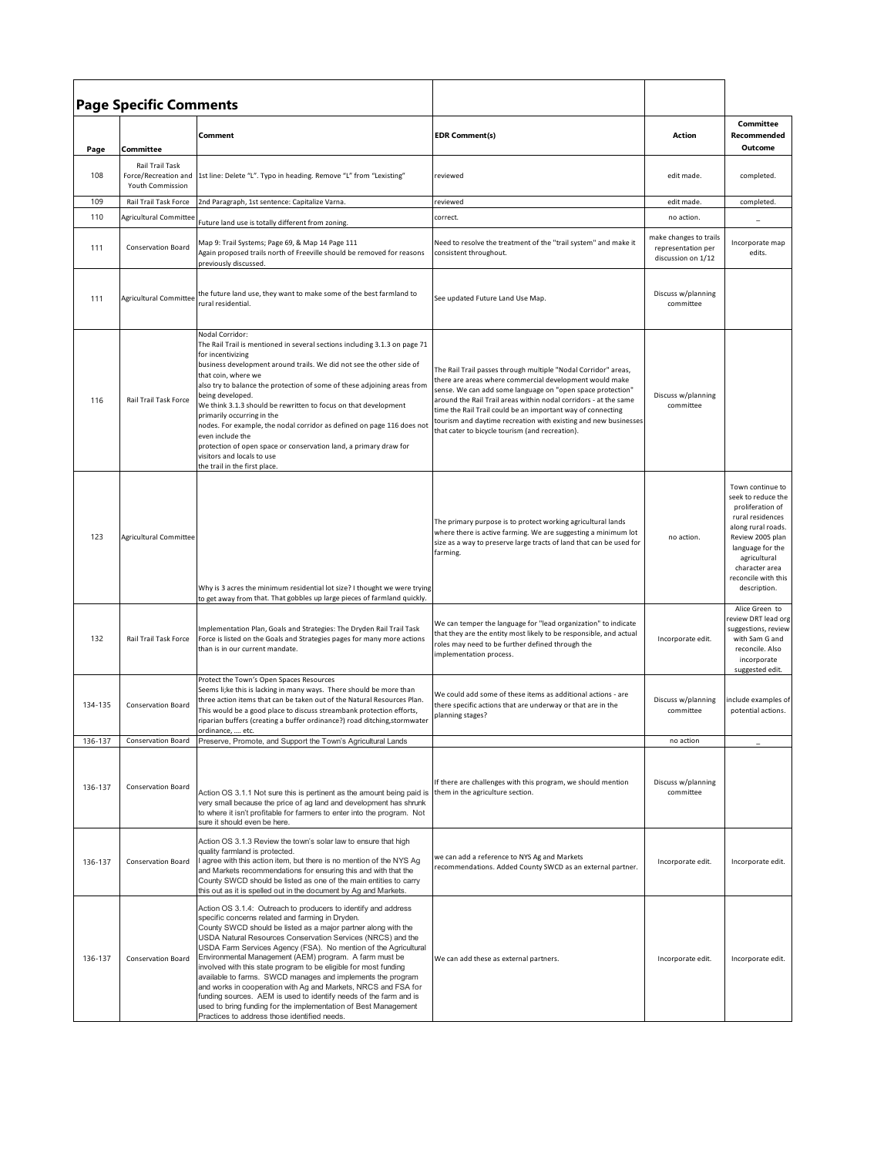|         | <b>Page Specific Comments</b>                               |                                                                                                                                                                                                                                                                                                                                                                                                                                                                                                                                                                                                                                                                                                                                                                               |                                                                                                                                                                                                                                                                                                                                                                                                                                                  |                                                                    |                                                                                                                                                                                                                       |
|---------|-------------------------------------------------------------|-------------------------------------------------------------------------------------------------------------------------------------------------------------------------------------------------------------------------------------------------------------------------------------------------------------------------------------------------------------------------------------------------------------------------------------------------------------------------------------------------------------------------------------------------------------------------------------------------------------------------------------------------------------------------------------------------------------------------------------------------------------------------------|--------------------------------------------------------------------------------------------------------------------------------------------------------------------------------------------------------------------------------------------------------------------------------------------------------------------------------------------------------------------------------------------------------------------------------------------------|--------------------------------------------------------------------|-----------------------------------------------------------------------------------------------------------------------------------------------------------------------------------------------------------------------|
| Page    | Committee                                                   | Comment                                                                                                                                                                                                                                                                                                                                                                                                                                                                                                                                                                                                                                                                                                                                                                       | <b>EDR Comment(s)</b>                                                                                                                                                                                                                                                                                                                                                                                                                            | Action                                                             | Committee<br>Recommended<br>Outcome                                                                                                                                                                                   |
| 108     | Rail Trail Task<br>Force/Recreation and<br>Youth Commission | 1st line: Delete "L". Typo in heading. Remove "L" from "Lexisting"                                                                                                                                                                                                                                                                                                                                                                                                                                                                                                                                                                                                                                                                                                            | reviewed                                                                                                                                                                                                                                                                                                                                                                                                                                         | edit made.                                                         | completed.                                                                                                                                                                                                            |
| 109     | Rail Trail Task Force                                       | 2nd Paragraph, 1st sentence: Capitalize Varna.                                                                                                                                                                                                                                                                                                                                                                                                                                                                                                                                                                                                                                                                                                                                | reviewed                                                                                                                                                                                                                                                                                                                                                                                                                                         | edit made.                                                         | completed.                                                                                                                                                                                                            |
| 110     | Agricultural Committee                                      | Future land use is totally different from zoning.                                                                                                                                                                                                                                                                                                                                                                                                                                                                                                                                                                                                                                                                                                                             | correct.                                                                                                                                                                                                                                                                                                                                                                                                                                         | no action.                                                         | $\overline{a}$                                                                                                                                                                                                        |
| 111     | <b>Conservation Board</b>                                   | Map 9: Trail Systems; Page 69, & Map 14 Page 111<br>Again proposed trails north of Freeville should be removed for reasons<br>previously discussed.                                                                                                                                                                                                                                                                                                                                                                                                                                                                                                                                                                                                                           | Need to resolve the treatment of the "trail system" and make it<br>consistent throughout.                                                                                                                                                                                                                                                                                                                                                        | make changes to trails<br>representation per<br>discussion on 1/12 | Incorporate map<br>edits.                                                                                                                                                                                             |
| 111     | <b>Agricultural Committee</b>                               | the future land use, they want to make some of the best farmland to<br>rural residential.                                                                                                                                                                                                                                                                                                                                                                                                                                                                                                                                                                                                                                                                                     | See updated Future Land Use Map.                                                                                                                                                                                                                                                                                                                                                                                                                 | Discuss w/planning<br>committee                                    |                                                                                                                                                                                                                       |
| 116     | Rail Trail Task Force                                       | Nodal Corridor:<br>The Rail Trail is mentioned in several sections including 3.1.3 on page 71<br>for incentivizing<br>business development around trails. We did not see the other side of<br>that coin, where we<br>also try to balance the protection of some of these adjoining areas from<br>being developed.<br>We think 3.1.3 should be rewritten to focus on that development<br>primarily occurring in the<br>nodes. For example, the nodal corridor as defined on page 116 does not<br>even include the<br>protection of open space or conservation land, a primary draw for<br>visitors and locals to use<br>the trail in the first place.                                                                                                                          | The Rail Trail passes through multiple "Nodal Corridor" areas,<br>there are areas where commercial development would make<br>sense. We can add some language on "open space protection"<br>around the Rail Trail areas within nodal corridors - at the same<br>time the Rail Trail could be an important way of connecting<br>tourism and daytime recreation with existing and new businesses<br>that cater to bicycle tourism (and recreation). | Discuss w/planning<br>committee                                    |                                                                                                                                                                                                                       |
| 123     | Agricultural Committee                                      | Why is 3 acres the minimum residential lot size? I thought we were trying<br>to get away from that. That gobbles up large pieces of farmland quickly.                                                                                                                                                                                                                                                                                                                                                                                                                                                                                                                                                                                                                         | The primary purpose is to protect working agricultural lands<br>where there is active farming. We are suggesting a minimum lot<br>size as a way to preserve large tracts of land that can be used for<br>farming.                                                                                                                                                                                                                                | no action.                                                         | Town continue to<br>seek to reduce the<br>proliferation of<br>rural residences<br>along rural roads.<br>Review 2005 plan<br>language for the<br>agricultural<br>character area<br>reconcile with this<br>description. |
| 132     | Rail Trail Task Force                                       | Implementation Plan, Goals and Strategies: The Dryden Rail Trail Task<br>Force is listed on the Goals and Strategies pages for many more actions<br>than is in our current mandate.                                                                                                                                                                                                                                                                                                                                                                                                                                                                                                                                                                                           | We can temper the language for "lead organization" to indicate<br>that they are the entity most likely to be responsible, and actual<br>roles may need to be further defined through the<br>implementation process.                                                                                                                                                                                                                              | Incorporate edit.                                                  | Alice Green to<br>review DRT lead org<br>suggestions, review<br>with Sam G and<br>reconcile. Also<br>incorporate<br>suggested edit.                                                                                   |
| 134-135 | <b>Conservation Board</b>                                   | Protect the Town's Open Spaces Resources<br>Seems li;ke this is lacking in many ways. There should be more than<br>three action items that can be taken out of the Natural Resources Plan.<br>This would be a good place to discuss streambank protection efforts,<br>riparian buffers (creating a buffer ordinance?) road ditching, stormwater<br>ordinance,  etc.                                                                                                                                                                                                                                                                                                                                                                                                           | We could add some of these items as additional actions - are<br>there specific actions that are underway or that are in the<br>planning stages?                                                                                                                                                                                                                                                                                                  | Discuss w/planning<br>committee                                    | nclude examples of<br>potential actions.                                                                                                                                                                              |
| 136-137 |                                                             | Conservation Board   Preserve, Promote, and Support the Town's Agricultural Lands                                                                                                                                                                                                                                                                                                                                                                                                                                                                                                                                                                                                                                                                                             |                                                                                                                                                                                                                                                                                                                                                                                                                                                  | no action                                                          |                                                                                                                                                                                                                       |
| 136-137 | Conservation Board                                          | Action OS 3.1.1 Not sure this is pertinent as the amount being paid is them in the agriculture section.<br>very small because the price of ag land and development has shrunk<br>to where it isn't profitable for farmers to enter into the program. Not<br>sure it should even be here.                                                                                                                                                                                                                                                                                                                                                                                                                                                                                      | If there are challenges with this program, we should mention                                                                                                                                                                                                                                                                                                                                                                                     | Discuss w/planning<br>committee                                    |                                                                                                                                                                                                                       |
| 136-137 | Conservation Board                                          | Action OS 3.1.3 Review the town's solar law to ensure that high<br>quality farmland is protected.<br>I agree with this action item, but there is no mention of the NYS Ag<br>and Markets recommendations for ensuring this and with that the<br>County SWCD should be listed as one of the main entities to carry<br>this out as it is spelled out in the document by Ag and Markets.                                                                                                                                                                                                                                                                                                                                                                                         | we can add a reference to NYS Ag and Markets<br>recommendations. Added County SWCD as an external partner.                                                                                                                                                                                                                                                                                                                                       | Incorporate edit.                                                  | Incorporate edit.                                                                                                                                                                                                     |
| 136-137 | <b>Conservation Board</b>                                   | Action OS 3.1.4: Outreach to producers to identify and address<br>specific concerns related and farming in Dryden.<br>County SWCD should be listed as a major partner along with the<br>USDA Natural Resources Conservation Services (NRCS) and the<br>USDA Farm Services Agency (FSA). No mention of the Agricultural<br>Environmental Management (AEM) program. A farm must be<br>involved with this state program to be eligible for most funding<br>available to farms. SWCD manages and implements the program<br>and works in cooperation with Ag and Markets, NRCS and FSA for<br>funding sources. AEM is used to identify needs of the farm and is<br>used to bring funding for the implementation of Best Management<br>Practices to address those identified needs. | We can add these as external partners.                                                                                                                                                                                                                                                                                                                                                                                                           | Incorporate edit.                                                  | Incorporate edit.                                                                                                                                                                                                     |